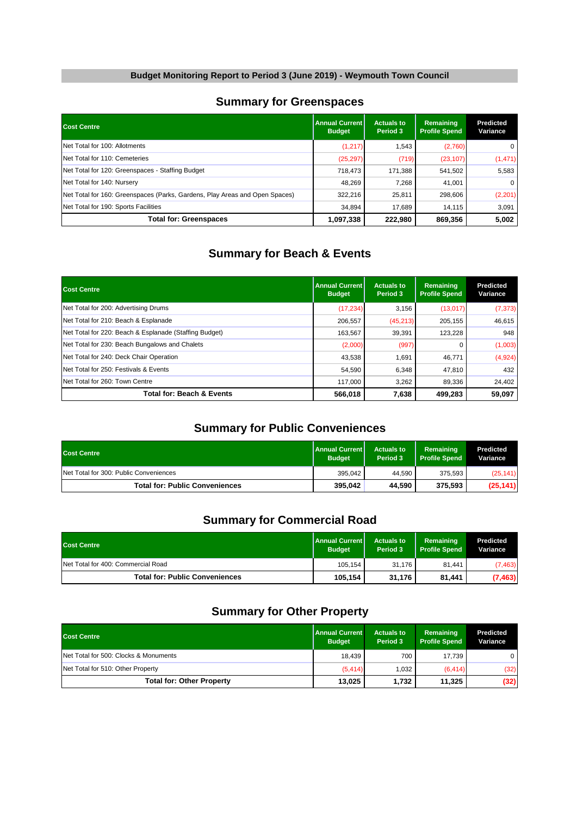#### **Summary for Greenspaces**

| <b>Cost Centre</b>                                                          | l Annual Current l<br><b>Budget</b> | <b>Actuals to</b><br>Period 3 | Remaining<br><b>Profile Spend</b> | Predicted<br>Variance |
|-----------------------------------------------------------------------------|-------------------------------------|-------------------------------|-----------------------------------|-----------------------|
| Net Total for 100: Allotments                                               | (1,217)                             | 1,543                         | (2,760)                           | $\mathbf{0}$          |
| Net Total for 110: Cemeteries                                               | (25, 297)                           | (719)                         | (23, 107)                         | (1, 471)              |
| Net Total for 120: Greenspaces - Staffing Budget                            | 718.473                             | 171.388                       | 541,502                           | 5,583                 |
| Net Total for 140: Nursery                                                  | 48.269                              | 7.268                         | 41,001                            | $\mathbf{0}$          |
| Net Total for 160: Greenspaces (Parks, Gardens, Play Areas and Open Spaces) | 322.216                             | 25,811                        | 298,606                           | (2,201)               |
| Net Total for 190: Sports Facilities                                        | 34.894                              | 17.689                        | 14,115                            | 3,091                 |
| <b>Total for: Greenspaces</b>                                               | 1,097,338                           | 222,980                       | 869,356                           | 5,002                 |

# **Summary for Beach & Events**

| <b>Cost Centre</b>                                     | <b>Annual Current</b><br><b>Budget</b> | <b>Actuals to</b><br>Period 3 | Remaining<br><b>Profile Spend</b> | <b>Predicted</b><br>Variance |
|--------------------------------------------------------|----------------------------------------|-------------------------------|-----------------------------------|------------------------------|
| Net Total for 200: Advertising Drums                   | (17, 234)                              | 3,156                         | (13,017)                          | (7, 373)                     |
| Net Total for 210: Beach & Esplanade                   | 206.557                                | (45, 213)                     | 205.155                           | 46,615                       |
| Net Total for 220: Beach & Esplanade (Staffing Budget) | 163.567                                | 39,391                        | 123.228                           | 948                          |
| Net Total for 230: Beach Bungalows and Chalets         | (2,000)                                | (997)                         |                                   | (1,003)                      |
| Net Total for 240: Deck Chair Operation                | 43,538                                 | 1,691                         | 46,771                            | (4,924)                      |
| Net Total for 250: Festivals & Events                  | 54.590                                 | 6.348                         | 47,810                            | 432                          |
| Net Total for 260: Town Centre                         | 117.000                                | 3,262                         | 89,336                            | 24,402                       |
| <b>Total for: Beach &amp; Events</b>                   | 566,018                                | 7,638                         | 499,283                           | 59,097                       |

### **Summary for Public Conveniences**

| <b>Cost Centre</b>                     | <b>Annual Current</b><br><b>Budget</b> | <b>Actuals to</b><br>Period 3 | Remaining<br><b>Profile Spend</b> | Predicted<br>Variance |
|----------------------------------------|----------------------------------------|-------------------------------|-----------------------------------|-----------------------|
| Net Total for 300: Public Conveniences | 395.042                                | 44.590                        | 375.593                           | (25, 141)             |
| <b>Total for: Public Conveniences</b>  | 395.042                                | 44.590                        | 375.593                           | (25, 141)             |

# **Summary for Commercial Road**

| <b>Cost Centre</b>                    | <b>Annual Current</b><br><b>Budget</b> | <b>Actuals to</b><br>Period 3 | Remaining<br><b>Profile Spend</b> | Predicted<br>Variance |
|---------------------------------------|----------------------------------------|-------------------------------|-----------------------------------|-----------------------|
| Net Total for 400: Commercial Road    | 105.154                                | 31.176                        | 81.441                            | (7, 463)              |
| <b>Total for: Public Conveniences</b> | 105,154                                | 31,176                        | 81,441                            | (7, 463)              |

## **Summary for Other Property**

| <b>Cost Centre</b>                    | <b>Annual Current</b><br><b>Budget</b> | <b>Actuals to</b><br>Period 3 | Remaining<br><b>Profile Spend</b> | Predicted<br>Variance |
|---------------------------------------|----------------------------------------|-------------------------------|-----------------------------------|-----------------------|
| Net Total for 500: Clocks & Monuments | 18.439                                 | 700                           | 17.739                            | $\mathbf{0}$          |
| Net Total for 510: Other Property     | (5, 414)                               | 1.032                         | (6, 414)                          | (32)                  |
| <b>Total for: Other Property</b>      | 13,025                                 | 1,732                         | 11,325                            | (32)                  |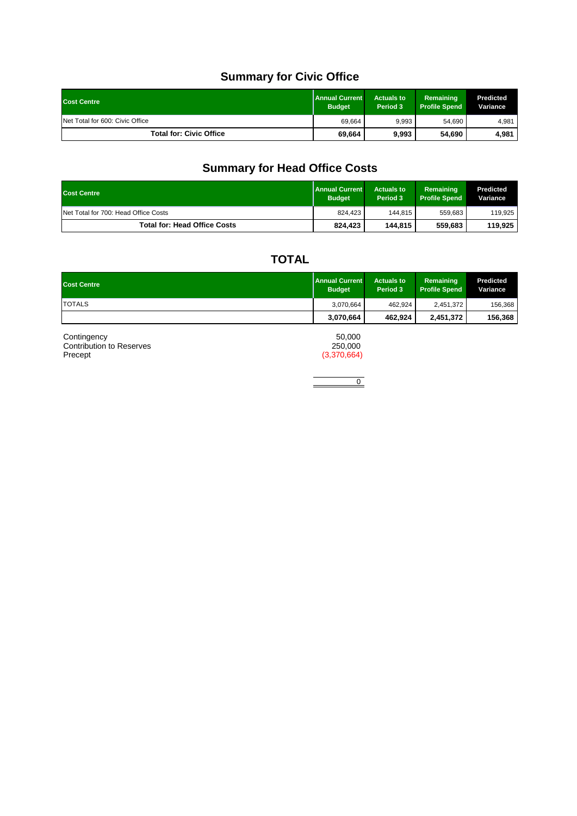# **Summary for Civic Office**

| <b>Cost Centre</b>              | <b>Annual Current</b><br><b>Budget</b> | <b>Actuals to</b><br>Period 3 | Remaining<br><b>Profile Spend</b> | Predicted<br>Variance |
|---------------------------------|----------------------------------------|-------------------------------|-----------------------------------|-----------------------|
| Net Total for 600: Civic Office | 69.664                                 | 9.993                         | 54,690                            | 4,981                 |
| <b>Total for: Civic Office</b>  | 69,664                                 | 9,993                         | 54,690                            | 4,981                 |

# **Summary for Head Office Costs**

| <b>Cost Centre</b>                   | <b>Annual Current</b><br><b>Budget</b> | <b>Actuals to</b><br>Period 3 | Remaining<br><b>Profile Spend</b> | Predicted<br>Variance |
|--------------------------------------|----------------------------------------|-------------------------------|-----------------------------------|-----------------------|
| Net Total for 700: Head Office Costs | 824.423                                | 144.815                       | 559.683                           | 119,925               |
| <b>Total for: Head Office Costs</b>  | 824.423                                | 144.815                       | 559.683                           | 119,925               |

# **TOTAL**

| <b>Cost Centre</b> | <b>Annual Current</b><br><b>Budget</b> | <b>Actuals to</b><br>Period 3 | Remaining<br><b>Profile Spend</b> | <b>Predicted</b><br>Variance |
|--------------------|----------------------------------------|-------------------------------|-----------------------------------|------------------------------|
| <b>TOTALS</b>      | 3.070.664                              | 462.924                       | 2,451,372                         | 156,368                      |
|                    | 3,070,664                              | 462.924                       | 2,451,372                         | 156,368                      |

| Continaencv              | 50.000      |
|--------------------------|-------------|
| Contribution to Reserves | 250,000     |
| Precept                  | (3,370,664) |

 $\begin{tabular}{|c|c|c|c|} \hline \quad \quad & 0 \\ \hline \quad \quad & 0 \\ \hline \quad \quad & 0 \\ \hline \end{tabular}$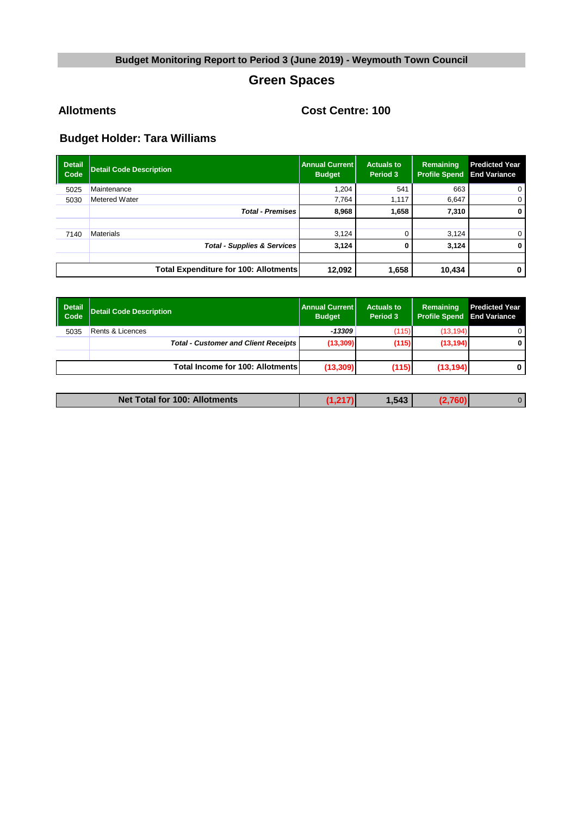# **Green Spaces**

**Allotments Cost Centre: 100**

| <b>Detail</b><br>Code | <b>Detail Code Description</b>               | <b>Annual Current I</b><br><b>Budget</b> | <b>Actuals to</b><br>Period 3 | Remaining<br><b>Profile Spend</b> | <b>Predicted Year</b><br><b>End Variance</b> |
|-----------------------|----------------------------------------------|------------------------------------------|-------------------------------|-----------------------------------|----------------------------------------------|
| 5025                  | Maintenance                                  | 1.204                                    | 541                           | 663                               | $\mathbf 0$                                  |
| 5030                  | <b>Metered Water</b>                         | 7.764                                    | 1,117                         | 6,647                             | 0                                            |
|                       | <b>Total - Premises</b>                      | 8,968                                    | 1,658                         | 7,310                             | 0                                            |
|                       |                                              |                                          |                               |                                   |                                              |
| 7140                  | <b>Materials</b>                             | 3,124                                    |                               | 3.124                             | 0                                            |
|                       | <b>Total - Supplies &amp; Services</b>       | 3,124                                    |                               | 3,124                             | 0                                            |
|                       |                                              |                                          |                               |                                   |                                              |
|                       | <b>Total Expenditure for 100: Allotments</b> | 12,092                                   | 1,658                         | 10,434                            | 0                                            |

| Detail<br><b>Code</b> | <b>Detail Code Description</b>              | <b>Annual Current</b><br><b>Budget</b> | <b>Actuals to</b><br>Period 3 | Remaining<br><b>Profile Spend</b> | <b>Predicted Year</b><br><b>End Variance</b> |
|-----------------------|---------------------------------------------|----------------------------------------|-------------------------------|-----------------------------------|----------------------------------------------|
| 5035                  | Rents & Licences                            | $-13309$                               | (115)                         | (13, 194)                         | 0                                            |
|                       | <b>Total - Customer and Client Receipts</b> | (13,309)                               | (115)                         | (13, 194)                         | 0                                            |
|                       |                                             |                                        |                               |                                   |                                              |
|                       | <b>Total Income for 100: Allotments</b>     | (13, 309)                              | (115)                         | (13, 194)                         | 0                                            |

| Net Total for 100: Allotments | .543 | D |
|-------------------------------|------|---|
|                               |      |   |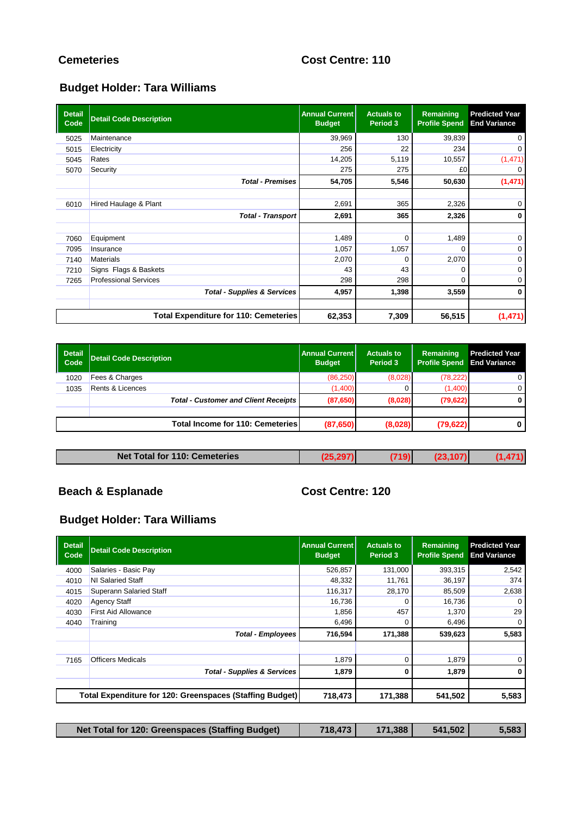# **Cemeteries Cost Centre: 110**

# **Budget Holder: Tara Williams**

| <b>Detail</b><br>Code | <b>Detail Code Description</b>               | <b>Annual Current</b><br><b>Budget</b> | <b>Actuals to</b><br>Period 3 | Remaining<br><b>Profile Spend</b> | <b>Predicted Year</b><br><b>End Variance</b> |
|-----------------------|----------------------------------------------|----------------------------------------|-------------------------------|-----------------------------------|----------------------------------------------|
| 5025                  | Maintenance                                  | 39,969                                 | 130                           | 39,839                            | 0                                            |
| 5015                  | Electricity                                  | 256                                    | 22                            | 234                               | $\mathbf 0$                                  |
| 5045                  | Rates                                        | 14,205                                 | 5,119                         | 10,557                            | (1, 471)                                     |
| 5070                  | Security                                     | 275                                    | 275                           | £0                                | $\mathbf 0$                                  |
|                       | <b>Total - Premises</b>                      | 54,705                                 | 5,546                         | 50,630                            | (1,471)                                      |
|                       |                                              |                                        |                               |                                   |                                              |
| 6010                  | Hired Haulage & Plant                        | 2,691                                  | 365                           | 2,326                             | $\mathbf 0$                                  |
|                       | <b>Total - Transport</b>                     | 2,691                                  | 365                           | 2,326                             | 0                                            |
|                       |                                              |                                        |                               |                                   |                                              |
| 7060                  | Equipment                                    | 1,489                                  | $\Omega$                      | 1,489                             | $\mathbf 0$                                  |
| 7095                  | Insurance                                    | 1,057                                  | 1,057                         |                                   | 0                                            |
| 7140                  | <b>Materials</b>                             | 2,070                                  |                               | 2,070                             | 0                                            |
| 7210                  | Signs Flags & Baskets                        | 43                                     | 43                            | 0                                 | 0                                            |
| 7265                  | <b>Professional Services</b>                 | 298                                    | 298                           | $\Omega$                          | $\mathbf 0$                                  |
|                       | <b>Total - Supplies &amp; Services</b>       | 4,957                                  | 1,398                         | 3,559                             | $\mathbf 0$                                  |
|                       |                                              |                                        |                               |                                   |                                              |
|                       | <b>Total Expenditure for 110: Cemeteries</b> | 62,353                                 | 7,309                         | 56,515                            | (1,471)                                      |

| Detail<br>Code | <b>Detail Code Description</b>              | l Annual Current l<br><b>Budget</b> | <b>Actuals to</b><br>Period 3 | Remaining<br><b>Profile Spend</b> | <b>Predicted Year</b><br><b>End Variance</b> |
|----------------|---------------------------------------------|-------------------------------------|-------------------------------|-----------------------------------|----------------------------------------------|
| 1020           | Fees & Charges                              | (86, 250)                           | (8,028)                       | (78, 222)                         | 0                                            |
| 1035           | <b>Rents &amp; Licences</b>                 | (1,400)                             |                               | (1,400)                           | $\mathbf{0}$                                 |
|                | <b>Total - Customer and Client Receipts</b> | (87,650)                            | (8,028)                       | (79, 622)                         | 0                                            |
|                |                                             |                                     |                               |                                   |                                              |
|                | <b>Total Income for 110: Cemeteries</b>     | (87,650)                            | (8,028)                       | (79, 622)                         |                                              |

| <b>Net</b><br>Total for 110:<br>: Cemeteries |
|----------------------------------------------|
|----------------------------------------------|

# **Beach & Esplanade Cost Centre: 120**

| <b>Detail</b><br>Code | <b>Detail Code Description</b>                           | <b>Annual Current</b><br><b>Budget</b> | <b>Actuals to</b><br>Period 3 | Remaining<br><b>Profile Spend</b> | <b>Predicted Year</b><br><b>End Variance</b> |
|-----------------------|----------------------------------------------------------|----------------------------------------|-------------------------------|-----------------------------------|----------------------------------------------|
| 4000                  | Salaries - Basic Pay                                     | 526,857                                | 131,000                       | 393,315                           | 2,542                                        |
| 4010                  | NI Salaried Staff                                        | 48,332                                 | 11,761                        | 36,197                            | 374                                          |
| 4015                  | <b>Superann Salaried Staff</b>                           | 116,317                                | 28,170                        | 85,509                            | 2,638                                        |
| 4020                  | <b>Agency Staff</b>                                      | 16,736                                 |                               | 16,736                            |                                              |
| 4030                  | <b>First Aid Allowance</b>                               | 1,856                                  | 457                           | 1,370                             | 29                                           |
| 4040                  | Training                                                 | 6,496                                  | 0                             | 6,496                             |                                              |
|                       | <b>Total - Employees</b>                                 | 716,594                                | 171,388                       | 539,623                           | 5,583                                        |
| 7165                  | <b>Officers Medicals</b>                                 | 1,879                                  | 0                             | 1,879                             |                                              |
|                       | <b>Total - Supplies &amp; Services</b>                   | 1,879                                  | 0                             | 1,879                             |                                              |
|                       | Total Expenditure for 120: Greenspaces (Staffing Budget) | 718,473                                | 171,388                       | 541,502                           | 5,583                                        |

| Net Total for 120: Greenspaces (Staffing Budget) | 718.473 | 171.388 | 541.502 | 5,583 |
|--------------------------------------------------|---------|---------|---------|-------|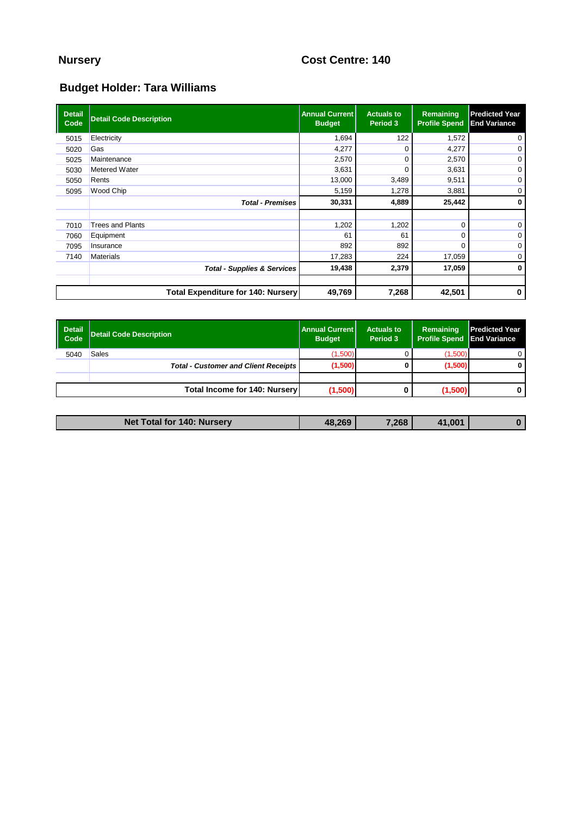# **Nursery Cost Centre: 140**

| <b>Detail</b><br>Code | <b>Detail Code Description</b>            | <b>Annual Current  </b><br><b>Budget</b> | <b>Actuals to</b><br>Period 3 | Remaining<br><b>Profile Spend</b> | <b>Predicted Year</b><br><b>End Variance</b> |
|-----------------------|-------------------------------------------|------------------------------------------|-------------------------------|-----------------------------------|----------------------------------------------|
| 5015                  | Electricity                               | 1,694                                    | 122                           | 1,572                             | 0                                            |
| 5020                  | Gas                                       | 4,277                                    |                               | 4,277                             | 0                                            |
| 5025                  | Maintenance                               | 2,570                                    |                               | 2,570                             | 0                                            |
| 5030                  | <b>Metered Water</b>                      | 3,631                                    |                               | 3,631                             | 0                                            |
| 5050                  | Rents                                     | 13,000                                   | 3,489                         | 9,511                             | 0                                            |
| 5095                  | Wood Chip                                 | 5,159                                    | 1,278                         | 3,881                             | 0                                            |
|                       | <b>Total - Premises</b>                   | 30,331                                   | 4,889                         | 25,442                            | $\mathbf 0$                                  |
|                       |                                           |                                          |                               |                                   |                                              |
| 7010                  | <b>Trees and Plants</b>                   | 1,202                                    | 1,202                         |                                   | 0                                            |
| 7060                  | Equipment                                 | 61                                       | 61                            |                                   | 0                                            |
| 7095                  | Insurance                                 | 892                                      | 892                           |                                   | 0                                            |
| 7140                  | <b>Materials</b>                          | 17,283                                   | 224                           | 17,059                            | 0                                            |
|                       | <b>Total - Supplies &amp; Services</b>    | 19,438                                   | 2,379                         | 17,059                            | $\bf{0}$                                     |
|                       |                                           |                                          |                               |                                   |                                              |
|                       | <b>Total Expenditure for 140: Nursery</b> | 49,769                                   | 7,268                         | 42,501                            | $\bf{0}$                                     |

| Detail<br><b>Code</b> | <b>Detail Code Description</b>              | <b>Annual Current</b><br><b>Budget</b> | <b>Actuals to</b><br>Period 3 | Remaining<br><b>Profile Spend</b> | <b>Predicted Year</b><br><b>End Variance</b> |
|-----------------------|---------------------------------------------|----------------------------------------|-------------------------------|-----------------------------------|----------------------------------------------|
| 5040                  | Sales                                       | (1,500)                                |                               | (1,500)                           |                                              |
|                       | <b>Total - Customer and Client Receipts</b> | (1,500)                                |                               | (1,500)                           | 0                                            |
|                       |                                             |                                        |                               |                                   |                                              |
|                       | <b>Total Income for 140: Nursery</b>        | (1,500)                                |                               | (1,500)                           | 0                                            |

| Net Total for 140: Nursery | 48.269 | '.268 | 41.001 |  |
|----------------------------|--------|-------|--------|--|
|                            |        |       |        |  |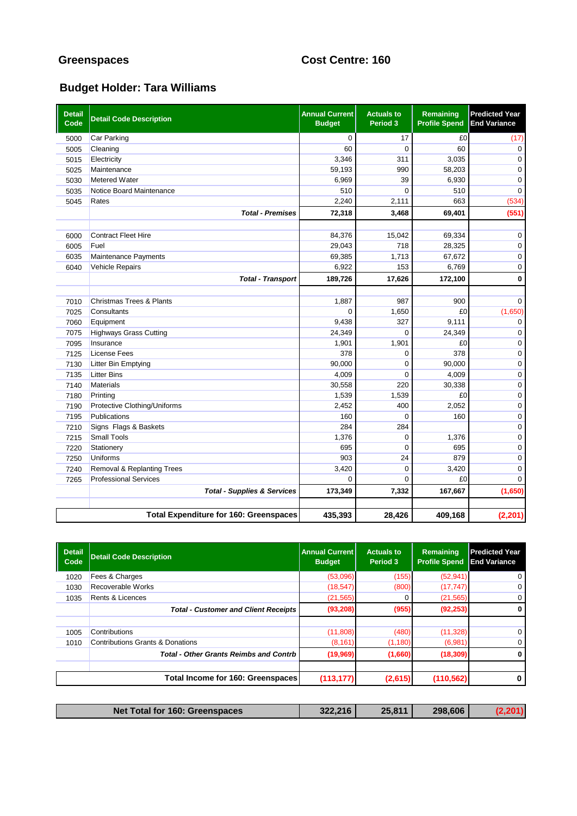# **Greenspaces Cost Centre: 160**

| <b>Detail</b><br>Code | <b>Detail Code Description</b>                 | <b>Annual Current</b><br><b>Budget</b> | <b>Actuals to</b><br>Period 3 | Remaining<br><b>Profile Spend</b> | <b>Predicted Year</b><br><b>End Variance</b> |
|-----------------------|------------------------------------------------|----------------------------------------|-------------------------------|-----------------------------------|----------------------------------------------|
| 5000                  | <b>Car Parking</b>                             | $\mathbf 0$                            | 17                            | £0                                | (17)                                         |
| 5005                  | Cleaning                                       | 60                                     | $\Omega$                      | 60                                | $\mathbf 0$                                  |
| 5015                  | Electricity                                    | 3,346                                  | 311                           | 3,035                             | $\mathbf 0$                                  |
| 5025                  | Maintenance                                    | 59,193                                 | 990                           | 58,203                            | $\mathbf 0$                                  |
| 5030                  | <b>Metered Water</b>                           | 6,969                                  | 39                            | 6,930                             | $\mathbf 0$                                  |
| 5035                  | Notice Board Maintenance                       | 510                                    | $\Omega$                      | 510                               | $\mathbf 0$                                  |
| 5045                  | Rates                                          | 2,240                                  | 2,111                         | 663                               | (534)                                        |
|                       | <b>Total - Premises</b>                        | 72,318                                 | 3,468                         | 69,401                            | (551)                                        |
|                       | <b>Contract Fleet Hire</b>                     | 84,376                                 | 15,042                        | 69,334                            | $\mathbf 0$                                  |
| 6000                  | Fuel                                           | 29,043                                 | 718                           | 28,325                            |                                              |
| 6005                  |                                                | 69,385                                 | 1,713                         |                                   | $\mathbf 0$<br>$\mathbf 0$                   |
| 6035                  | Maintenance Payments<br><b>Vehicle Repairs</b> | 6,922                                  | 153                           | 67,672<br>6,769                   | $\mathbf 0$                                  |
| 6040                  |                                                |                                        |                               |                                   |                                              |
|                       | <b>Total - Transport</b>                       | 189,726                                | 17,626                        | 172,100                           | $\mathbf 0$                                  |
| 7010                  | <b>Christmas Trees &amp; Plants</b>            | 1,887                                  | 987                           | 900                               | $\mathbf 0$                                  |
| 7025                  | Consultants                                    | $\Omega$                               | 1,650                         | £0                                | (1,650)                                      |
| 7060                  | Equipment                                      | 9,438                                  | 327                           | 9,111                             | 0                                            |
| 7075                  | <b>Highways Grass Cutting</b>                  | 24,349                                 | $\Omega$                      | 24,349                            | $\mathbf 0$                                  |
| 7095                  | Insurance                                      | 1,901                                  | 1,901                         | £0                                | 0                                            |
| 7125                  | <b>License Fees</b>                            | 378                                    | $\Omega$                      | 378                               | $\mathbf 0$                                  |
| 7130                  | <b>Litter Bin Emptying</b>                     | 90,000                                 | $\Omega$                      | 90,000                            | $\mathbf 0$                                  |
| 7135                  | <b>Litter Bins</b>                             | 4,009                                  | 0                             | 4,009                             | $\pmb{0}$                                    |
| 7140                  | <b>Materials</b>                               | 30,558                                 | 220                           | 30,338                            | $\mathsf 0$                                  |
| 7180                  | Printing                                       | 1,539                                  | 1,539                         | £0                                | $\pmb{0}$                                    |
| 7190                  | Protective Clothing/Uniforms                   | 2,452                                  | 400                           | 2,052                             | $\pmb{0}$                                    |
| 7195                  | Publications                                   | 160                                    | 0                             | 160                               | $\mathbf 0$                                  |
| 7210                  | Signs Flags & Baskets                          | 284                                    | 284                           |                                   | $\mathbf 0$                                  |
| 7215                  | <b>Small Tools</b>                             | 1,376                                  | $\Omega$                      | 1,376                             | $\mathbf 0$                                  |
| 7220                  | Stationery                                     | 695                                    | $\Omega$                      | 695                               | $\mathbf 0$                                  |
| 7250                  | Uniforms                                       | 903                                    | 24                            | 879                               | $\mathbf 0$                                  |
| 7240                  | Removal & Replanting Trees                     | 3,420                                  | $\Omega$                      | 3,420                             | $\mathbf 0$                                  |
| 7265                  | <b>Professional Services</b>                   | 0                                      | $\Omega$                      | £0                                | $\Omega$                                     |
|                       | <b>Total - Supplies &amp; Services</b>         | 173,349                                | 7,332                         | 167,667                           | (1,650)                                      |
|                       |                                                |                                        |                               |                                   |                                              |
|                       | <b>Total Expenditure for 160: Greenspaces</b>  | 435,393                                | 28,426                        | 409,168                           | (2, 201)                                     |

| <b>Detail</b><br>Code | <b>Detail Code Description</b>                | <b>Annual Current</b><br><b>Budget</b> | <b>Actuals to</b><br>Period 3 | <b>Remaining</b><br><b>Profile Spend</b> | <b>Predicted Year</b><br><b>End Variance</b> |
|-----------------------|-----------------------------------------------|----------------------------------------|-------------------------------|------------------------------------------|----------------------------------------------|
| 1020                  | Fees & Charges                                | (53,096)                               | (155)                         | (52, 941)                                | 0                                            |
| 1030                  | Recoverable Works                             | (18, 547)                              | (800)                         | (17, 747)                                | 0                                            |
| 1035                  | <b>Rents &amp; Licences</b>                   | (21, 565)                              |                               | (21, 565)                                | 0                                            |
|                       | <b>Total - Customer and Client Receipts</b>   | (93, 208)                              | (955)                         | (92, 253)                                | $\bf{0}$                                     |
|                       |                                               |                                        |                               |                                          |                                              |
| 1005                  | Contributions                                 | (11,808)                               | (480)                         | (11, 328)                                | 0                                            |
| 1010                  | <b>Contributions Grants &amp; Donations</b>   | (8, 161)                               | (1, 180)                      | (6,981)                                  | 0                                            |
|                       | <b>Total - Other Grants Reimbs and Contrb</b> | (19,969)                               | (1,660)                       | (18, 309)                                | 0                                            |
|                       | Total Income for 160: Greenspaces             | (113, 177)                             | (2,615)                       | (110, 562)                               | 0                                            |
|                       |                                               |                                        |                               |                                          |                                              |

|  | Net Total for 160: Greenspaces | 322.216 | 25,811 | 298,606 |  |
|--|--------------------------------|---------|--------|---------|--|
|--|--------------------------------|---------|--------|---------|--|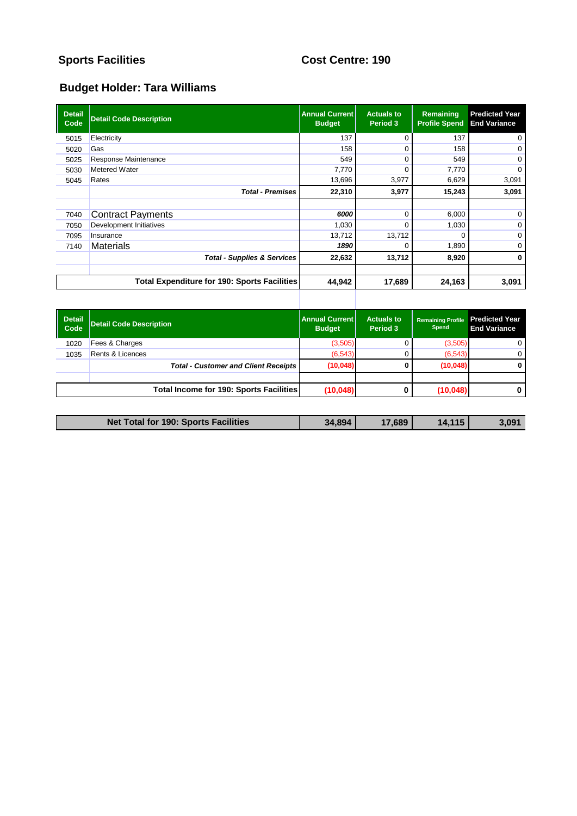# **Sports Facilities Cost Centre: 190**

| <b>Detail</b><br>Code | <b>Detail Code Description</b>                      | <b>Annual Current  </b><br><b>Budget</b> | <b>Actuals to</b><br>Period 3 | Remaining<br><b>Profile Spend</b> | <b>Predicted Year</b><br><b>End Variance</b> |
|-----------------------|-----------------------------------------------------|------------------------------------------|-------------------------------|-----------------------------------|----------------------------------------------|
| 5015                  | Electricity                                         | 137                                      | 0                             | 137                               | 0                                            |
| 5020                  | Gas                                                 | 158                                      |                               | 158                               | 0                                            |
| 5025                  | Response Maintenance                                | 549                                      | 0                             | 549                               | $\mathbf 0$                                  |
| 5030                  | Metered Water                                       | 7,770                                    |                               | 7,770                             | 0                                            |
| 5045                  | Rates                                               | 13,696                                   | 3,977                         | 6,629                             | 3,091                                        |
|                       | <b>Total - Premises</b>                             | 22,310                                   | 3,977                         | 15,243                            | 3,091                                        |
|                       |                                                     |                                          |                               |                                   |                                              |
| 7040                  | <b>Contract Payments</b>                            | 6000                                     | $\Omega$                      | 6,000                             | 0                                            |
| 7050                  | Development Initiatives                             | 1,030                                    | 0                             | 1,030                             | 0                                            |
| 7095                  | Insurance                                           | 13,712                                   | 13,712                        |                                   | 0                                            |
| 7140                  | <b>Materials</b>                                    | 1890                                     | 0                             | 1,890                             | 0                                            |
|                       | <b>Total - Supplies &amp; Services</b>              | 22,632                                   | 13,712                        | 8,920                             | $\mathbf{0}$                                 |
|                       |                                                     |                                          |                               |                                   |                                              |
|                       | <b>Total Expenditure for 190: Sports Facilities</b> | 44,942                                   | 17,689                        | 24,163                            | 3,091                                        |
|                       |                                                     |                                          |                               |                                   |                                              |

| <b>Detail</b><br>Code | <b>Detail Code Description</b>              | <b>Annual Current I</b><br><b>Budget</b> | <b>Actuals to</b><br>Period 3 | <b>Remaining Profile</b><br>Spend | <b>Predicted Year</b><br><b>End Variance</b> |
|-----------------------|---------------------------------------------|------------------------------------------|-------------------------------|-----------------------------------|----------------------------------------------|
| 1020                  | Fees & Charges                              | (3,505)                                  |                               | (3,505)                           | 0                                            |
| 1035                  | Rents & Licences                            | (6, 543)                                 |                               | (6, 543)                          | 0                                            |
|                       | <b>Total - Customer and Client Receipts</b> | (10,048)                                 | 0                             | (10,048)                          |                                              |
|                       |                                             |                                          |                               |                                   |                                              |
|                       | Total Income for 190: Sports Facilities     | (10, 048)                                |                               | (10, 048)                         | 0                                            |

| <b>Net Total for 190: Sports Facilities</b><br>34,894<br>14.115<br>7,689 |  |  |       |
|--------------------------------------------------------------------------|--|--|-------|
|                                                                          |  |  | 5,091 |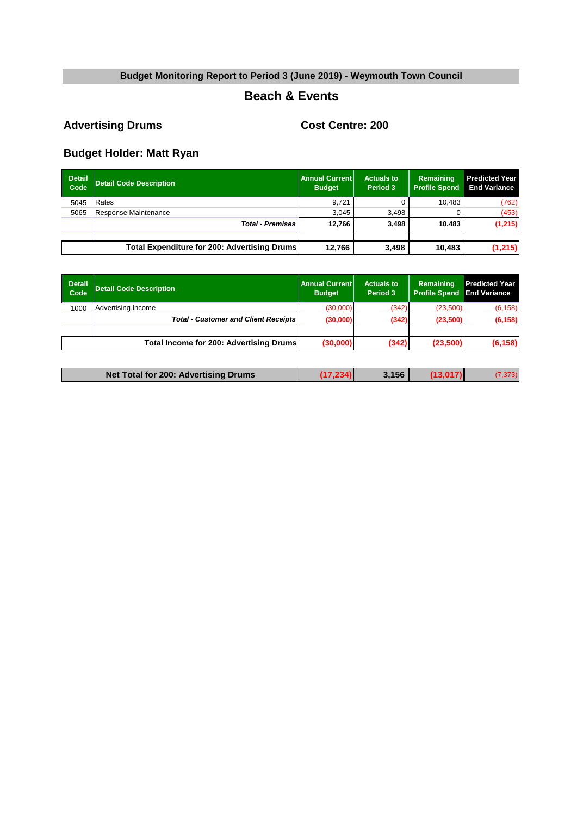#### **Beach & Events**

# Advertising Drums<br> **Cost Centre: 200**

| <b>Detail</b><br>Code | <b>Detail Code Description</b>               | Annual Current<br><b>Budget</b> | <b>Actuals to</b><br>Period 3 | Remaining<br><b>Profile Spend</b> | <b>Predicted Year</b><br><b>End Variance</b> |
|-----------------------|----------------------------------------------|---------------------------------|-------------------------------|-----------------------------------|----------------------------------------------|
| 5045                  | Rates                                        | 9.721                           |                               | 10.483                            | (762)                                        |
| 5065                  | Response Maintenance                         | 3.045                           | 3.498                         |                                   | (453)                                        |
|                       | <b>Total - Premises</b>                      | 12.766                          | 3.498                         | 10.483                            | (1, 215)                                     |
|                       |                                              |                                 |                               |                                   |                                              |
|                       | Total Expenditure for 200: Advertising Drums | 12.766                          | 3,498                         | 10.483                            | (1,215)                                      |

| Detail<br>  Code | <b>Detail Code Description</b>                | Annual Current<br><b>Budget</b> | <b>Actuals to</b><br>Period 3 | Remaining<br><b>Profile Spend End Variance</b> | <b>Predicted Year</b> |
|------------------|-----------------------------------------------|---------------------------------|-------------------------------|------------------------------------------------|-----------------------|
| 1000             | Advertising Income                            | (30,000)                        | (342)                         | (23,500)                                       | (6, 158)              |
|                  | <b>Total - Customer and Client Receipts  </b> | (30,000)                        | (342)                         | (23,500)                                       | (6, 158)              |
|                  |                                               |                                 |                               |                                                |                       |
|                  | Total Income for 200: Advertising Drums       | (30,000)                        | (342)                         | (23,500)                                       | (6, 158)              |
|                  |                                               |                                 |                               |                                                |                       |

| Net Total for 200: Advertising Drums | .156 |  |
|--------------------------------------|------|--|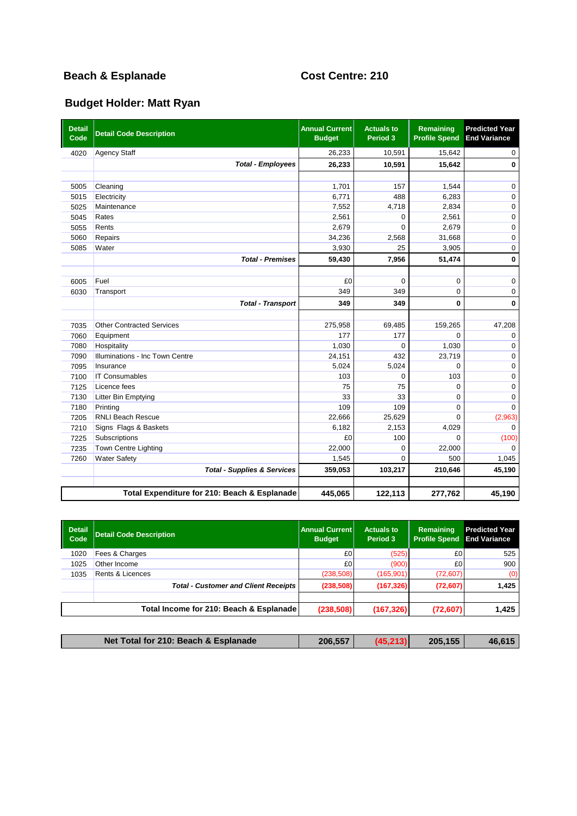# **Beach & Esplanade Cost Centre: 210**

| <b>Detail</b><br>Code | <b>Detail Code Description</b>               | <b>Annual Current</b><br><b>Budget</b> | <b>Actuals to</b><br>Period 3 | Remaining<br><b>Profile Spend</b> | <b>Predicted Year</b><br><b>End Variance</b> |
|-----------------------|----------------------------------------------|----------------------------------------|-------------------------------|-----------------------------------|----------------------------------------------|
| 4020                  | <b>Agency Staff</b>                          | 26,233                                 | 10,591                        | 15,642                            | 0                                            |
|                       | <b>Total - Employees</b>                     | 26,233                                 | 10,591                        | 15,642                            | 0                                            |
|                       |                                              |                                        |                               |                                   |                                              |
| 5005                  | Cleaning                                     | 1.701                                  | 157                           | 1.544                             | $\mathbf 0$                                  |
| 5015                  | Electricity                                  | 6,771                                  | 488                           | 6,283                             | $\mathbf 0$                                  |
| 5025                  | Maintenance                                  | 7,552                                  | 4,718                         | 2,834                             | $\mathbf 0$                                  |
| 5045                  | Rates                                        | 2,561                                  | $\Omega$                      | 2,561                             | $\mathbf 0$                                  |
| 5055                  | Rents                                        | 2,679                                  | $\Omega$                      | 2,679                             | $\mathbf 0$                                  |
| 5060                  | Repairs                                      | 34,236                                 | 2,568                         | 31,668                            | $\mathbf 0$                                  |
| 5085                  | Water                                        | 3,930                                  | 25                            | 3,905                             | $\mathbf 0$                                  |
|                       | <b>Total - Premises</b>                      | 59,430                                 | 7,956                         | 51,474                            | $\mathbf 0$                                  |
|                       |                                              |                                        |                               |                                   |                                              |
| 6005                  | Fuel                                         | £0                                     | $\mathbf 0$                   | $\mathbf 0$                       | $\mathbf 0$                                  |
| 6030                  | Transport                                    | 349                                    | 349                           | $\mathbf 0$                       | $\mathbf 0$                                  |
|                       | <b>Total - Transport</b>                     | 349                                    | 349                           | $\mathbf{0}$                      | $\mathbf 0$                                  |
|                       |                                              |                                        |                               |                                   |                                              |
| 7035                  | <b>Other Contracted Services</b>             | 275,958                                | 69,485                        | 159,265                           | 47,208                                       |
| 7060                  | Equipment                                    | 177                                    | 177                           | $\Omega$                          | $\mathbf 0$                                  |
| 7080                  | Hospitality                                  | 1,030                                  | $\Omega$                      | 1,030                             | $\mathbf 0$                                  |
| 7090                  | Illuminations - Inc Town Centre              | 24,151                                 | 432                           | 23,719                            | $\mathbf 0$                                  |
| 7095                  | Insurance                                    | 5,024                                  | 5,024                         | $\Omega$                          | 0                                            |
| 7100                  | <b>IT Consumables</b>                        | 103                                    | $\Omega$                      | 103                               | $\mathbf 0$                                  |
| 7125                  | Licence fees                                 | 75                                     | 75                            | $\Omega$                          | $\mathbf 0$                                  |
| 7130                  | Litter Bin Emptying                          | 33                                     | 33                            | $\Omega$                          | $\mathbf 0$                                  |
| 7180                  | Printing                                     | 109                                    | 109                           | $\Omega$                          | $\Omega$                                     |
| 7205                  | <b>RNLI Beach Rescue</b>                     | 22,666                                 | 25,629                        | $\Omega$                          | (2,963)                                      |
| 7210                  | Signs Flags & Baskets                        | 6.182                                  | 2,153                         | 4,029                             | $\Omega$                                     |
| 7225                  | Subscriptions                                | £0                                     | 100                           | $\Omega$                          | (100)                                        |
| 7235                  | Town Centre Lighting                         | 22,000                                 | $\Omega$                      | 22,000                            | $\Omega$                                     |
| 7260                  | <b>Water Safety</b>                          | 1,545                                  | $\Omega$                      | 500                               | 1,045                                        |
|                       | <b>Total - Supplies &amp; Services</b>       | 359,053                                | 103,217                       | 210,646                           | 45,190                                       |
|                       |                                              |                                        |                               |                                   |                                              |
|                       | Total Expenditure for 210: Beach & Esplanade | 445,065                                | 122,113                       | 277,762                           | 45,190                                       |

| Detail<br>Code | <b>Detail Code Description</b>              | <b>Annual Current</b><br><b>Budget</b> | <b>Actuals to</b><br>Period 3 | Remaining<br><b>Profile Spend</b> | <b>Predicted Year</b><br><b>End Variance</b> |
|----------------|---------------------------------------------|----------------------------------------|-------------------------------|-----------------------------------|----------------------------------------------|
| 1020           | Fees & Charges                              | £0                                     | (525)                         | £O                                | 525                                          |
| 1025           | Other Income                                | £0                                     | (900)                         | £0                                | 900                                          |
| 1035           | Rents & Licences                            | (238, 508)                             | (165, 901)                    | (72,607)                          | (0)                                          |
|                | <b>Total - Customer and Client Receipts</b> | (238, 508)                             | (167, 326)                    | (72, 607)                         | 1.425                                        |
|                | Total Income for 210: Beach & Esplanade     | (238, 508)                             | (167, 326)                    | (72, 607)                         | 1,425                                        |

| Net Total for 210: Beach & Esplanade | 206,557 | (45, 213) | 205,155 | 46.615 |
|--------------------------------------|---------|-----------|---------|--------|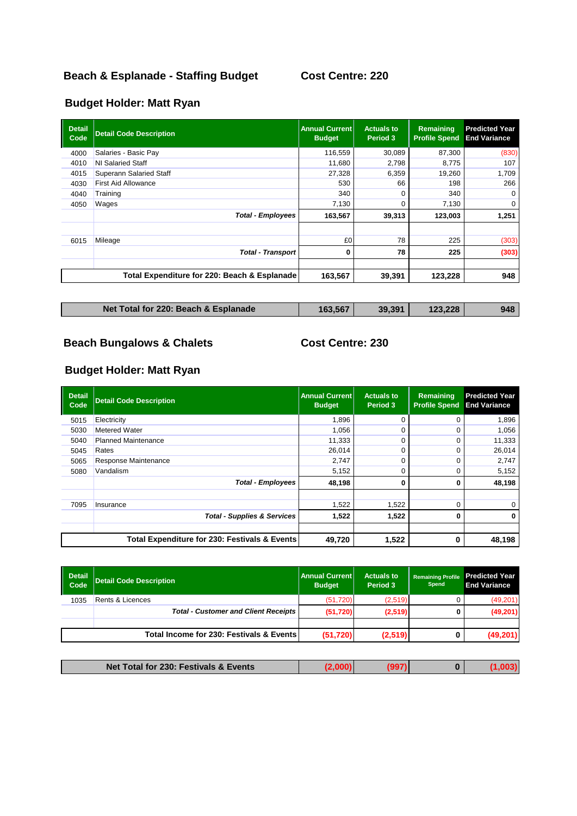# **Beach & Esplanade - Staffing Budget Cost Centre: 220**

# **Budget Holder: Matt Ryan**

| <b>Detail</b><br>Code | <b>Detail Code Description</b>               | <b>Annual Current</b><br><b>Budget</b> | <b>Actuals to</b><br>Period 3 | Remaining<br><b>Profile Spend</b> | <b>Predicted Year</b><br><b>End Variance</b> |
|-----------------------|----------------------------------------------|----------------------------------------|-------------------------------|-----------------------------------|----------------------------------------------|
| 4000                  | Salaries - Basic Pay                         | 116,559                                | 30,089                        | 87,300                            | (830)                                        |
| 4010                  | NI Salaried Staff                            | 11,680                                 | 2,798                         | 8,775                             | 107                                          |
| 4015                  | <b>Superann Salaried Staff</b>               | 27,328                                 | 6,359                         | 19,260                            | 1,709                                        |
| 4030                  | <b>First Aid Allowance</b>                   | 530                                    | 66                            | 198                               | 266                                          |
| 4040                  | Training                                     | 340                                    | $\Omega$                      | 340                               | $\Omega$                                     |
| 4050                  | Wages                                        | 7,130                                  | 0                             | 7,130                             | 0                                            |
|                       | <b>Total - Employees</b>                     | 163,567                                | 39,313                        | 123,003                           | 1,251                                        |
| 6015                  | Mileage                                      | £0                                     | 78                            | 225                               | (303)                                        |
|                       | <b>Total - Transport</b>                     | 0                                      | 78                            | 225                               | (303)                                        |
|                       | Total Expenditure for 220: Beach & Esplanade | 163,567                                | 39,391                        | 123,228                           | 948                                          |

| Net Total for 220: Beach & Esplanade | 163,567 | 39,391 | 123,228 | 948 |
|--------------------------------------|---------|--------|---------|-----|
|                                      |         |        |         |     |

# **Beach Bungalows & Chalets Cost Centre: 230**

| <b>Detail</b><br>Code | <b>Detail Code Description</b>                | <b>Annual Current</b><br><b>Budget</b> | <b>Actuals to</b><br>Period 3 | Remaining<br><b>Profile Spend</b> | <b>Predicted Year</b><br><b>End Variance</b> |
|-----------------------|-----------------------------------------------|----------------------------------------|-------------------------------|-----------------------------------|----------------------------------------------|
| 5015                  | Electricity                                   | 1,896                                  | 0                             | 0                                 | 1,896                                        |
| 5030                  | Metered Water                                 | 1.056                                  | 0                             | 0                                 | 1,056                                        |
| 5040                  | <b>Planned Maintenance</b>                    | 11,333                                 | 0                             | 0                                 | 11,333                                       |
| 5045                  | Rates                                         | 26,014                                 | 0                             | 0                                 | 26,014                                       |
| 5065                  | Response Maintenance                          | 2,747                                  | 0                             | $\Omega$                          | 2,747                                        |
| 5080                  | Vandalism                                     | 5,152                                  | 0                             | 0                                 | 5,152                                        |
|                       | <b>Total - Employees</b>                      | 48,198                                 | 0                             | 0                                 | 48,198                                       |
| 7095                  | Insurance                                     | 1,522                                  | 1,522                         | 0                                 | 0                                            |
|                       | <b>Total - Supplies &amp; Services</b>        | 1,522                                  | 1,522                         | 0                                 | 0                                            |
|                       | Total Expenditure for 230: Festivals & Events | 49,720                                 | 1,522                         | 0                                 | 48,198                                       |

| Detail<br>  Code | <b>Detail Code Description</b>              | <b>Annual Current</b><br><b>Budget</b> | <b>Actuals to</b><br>Period 3 | <b>Remaining Profile</b><br><b>Spend</b> | <b>Predicted Year</b><br><b>End Variance</b> |
|------------------|---------------------------------------------|----------------------------------------|-------------------------------|------------------------------------------|----------------------------------------------|
| 1035             | <b>Rents &amp; Licences</b>                 | (51, 720)                              | (2,519)                       |                                          | (49,201)                                     |
|                  | <b>Total - Customer and Client Receipts</b> | (51, 720)                              | (2, 519)                      |                                          | (49,201)                                     |
|                  |                                             |                                        |                               |                                          |                                              |
|                  | Total Income for 230: Festivals & Events    | (51, 720)                              | (2,519)                       | 0                                        | (49,201)                                     |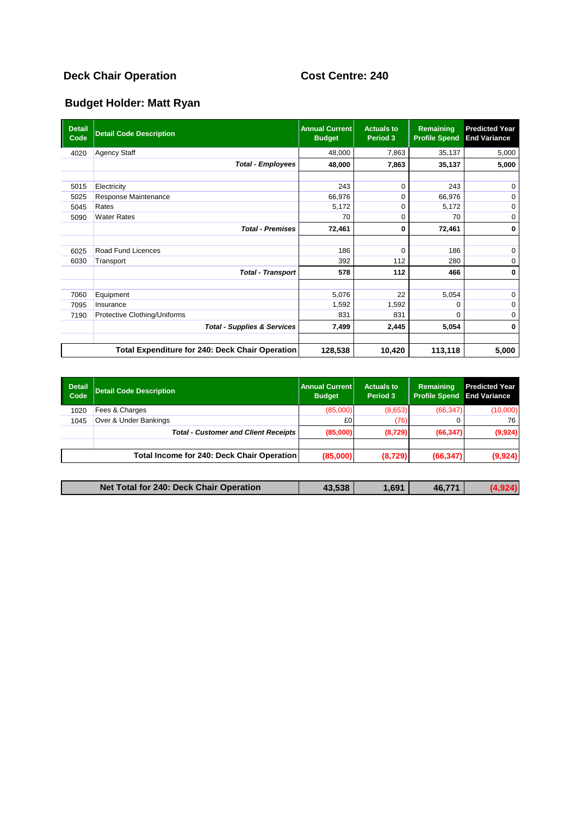# **Deck Chair Operation Cost Centre: 240**

| <b>Detail</b><br>Code | <b>Detail Code Description</b>                         | <b>Annual Current</b><br><b>Budget</b> | <b>Actuals to</b><br>Period 3 | Remaining<br><b>Profile Spend</b> | <b>Predicted Year</b><br><b>End Variance</b> |
|-----------------------|--------------------------------------------------------|----------------------------------------|-------------------------------|-----------------------------------|----------------------------------------------|
| 4020                  | <b>Agency Staff</b>                                    | 48,000                                 | 7,863                         | 35,137                            | 5,000                                        |
|                       | <b>Total - Employees</b>                               | 48,000                                 | 7,863                         | 35,137                            | 5,000                                        |
|                       |                                                        |                                        |                               |                                   |                                              |
| 5015                  | Electricity                                            | 243                                    | 0                             | 243                               | $\mathbf 0$                                  |
| 5025                  | Response Maintenance                                   | 66,976                                 | $\Omega$                      | 66,976                            | $\mathbf 0$                                  |
| 5045                  | Rates                                                  | 5,172                                  | 0                             | 5,172                             | $\mathbf 0$                                  |
| 5090                  | <b>Water Rates</b>                                     | 70                                     | 0                             | 70                                | $\mathbf 0$                                  |
|                       | <b>Total - Premises</b>                                | 72,461                                 | 0                             | 72,461                            | 0                                            |
|                       |                                                        |                                        |                               |                                   |                                              |
| 6025                  | Road Fund Licences                                     | 186                                    | $\Omega$                      | 186                               | 0                                            |
| 6030                  | Transport                                              | 392                                    | 112                           | 280                               | $\mathbf 0$                                  |
|                       | <b>Total - Transport</b>                               | 578                                    | 112                           | 466                               | 0                                            |
|                       |                                                        |                                        |                               |                                   |                                              |
| 7060                  | Equipment                                              | 5,076                                  | 22                            | 5,054                             | $\mathbf 0$                                  |
| 7095                  | Insurance                                              | 1,592                                  | 1,592                         | 0                                 | $\mathbf 0$                                  |
| 7190                  | Protective Clothing/Uniforms                           | 831                                    | 831                           | $\Omega$                          | $\mathbf 0$                                  |
|                       | <b>Total - Supplies &amp; Services</b>                 | 7,499                                  | 2,445                         | 5,054                             | 0                                            |
|                       | <b>Total Expenditure for 240: Deck Chair Operation</b> | 128,538                                | 10,420                        | 113,118                           | 5,000                                        |

| <b>Detail</b><br>Code | <b>Detail Code Description</b>              | Annual Current<br><b>Budget</b> | <b>Actuals to</b><br>Period 3 | Remaining<br><b>Profile Spend</b> | <b>Predicted Year</b><br><b>End Variance</b> |
|-----------------------|---------------------------------------------|---------------------------------|-------------------------------|-----------------------------------|----------------------------------------------|
| 1020                  | Fees & Charges                              | (85,000)                        | (8,653)                       | (66, 347)                         | (10,000)                                     |
| 1045                  | Over & Under Bankings                       | £0                              | (76)                          |                                   | 76                                           |
|                       | <b>Total - Customer and Client Receipts</b> | (85,000)                        | (8,729)                       | (66, 347)                         | (9,924)                                      |
|                       | Total Income for 240: Deck Chair Operation  | (85,000)                        | (8,729)                       | (66, 347)                         | (9,924)                                      |

| Net Total for 240: Deck Chair Operation | 43.538 | 1,691 | 46,771 |  |
|-----------------------------------------|--------|-------|--------|--|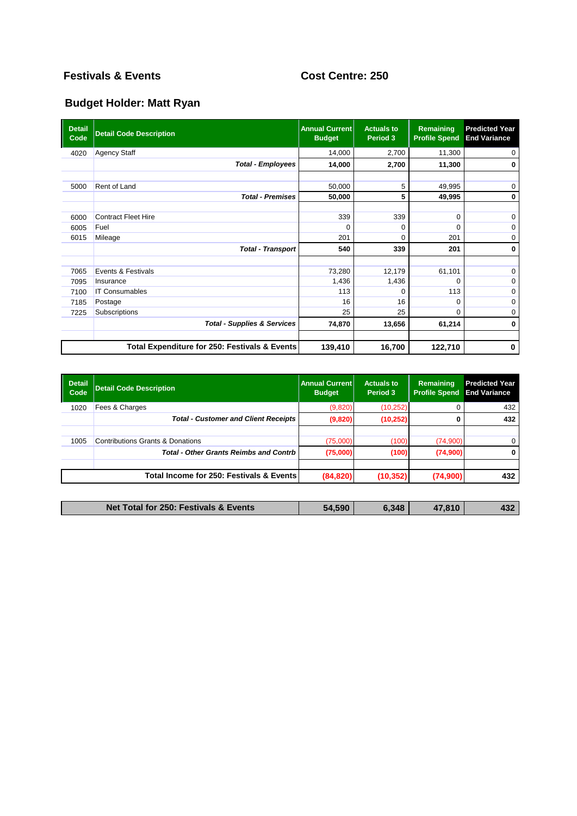# **Festivals & Events Cost Centre: 250**

| <b>Detail</b><br>Code | <b>Detail Code Description</b>                | <b>Annual Current</b><br><b>Budget</b> | <b>Actuals to</b><br>Period 3 | Remaining<br><b>Profile Spend</b> | <b>Predicted Year</b><br><b>End Variance</b> |
|-----------------------|-----------------------------------------------|----------------------------------------|-------------------------------|-----------------------------------|----------------------------------------------|
| 4020                  | <b>Agency Staff</b>                           | 14,000                                 | 2,700                         | 11,300                            | 0                                            |
|                       | <b>Total - Employees</b>                      | 14,000                                 | 2,700                         | 11,300                            | 0                                            |
|                       |                                               |                                        |                               |                                   |                                              |
| 5000                  | Rent of Land                                  | 50,000                                 | 5                             | 49,995                            | $\mathbf 0$                                  |
|                       | <b>Total - Premises</b>                       | 50,000                                 | 5                             | 49,995                            | 0                                            |
|                       |                                               |                                        |                               |                                   |                                              |
| 6000                  | <b>Contract Fleet Hire</b>                    | 339                                    | 339                           | $\mathbf 0$                       | $\mathbf 0$                                  |
| 6005                  | Fuel                                          | $\Omega$                               | 0                             | $\Omega$                          | $\mathbf 0$                                  |
| 6015                  | Mileage                                       | 201                                    | 0                             | 201                               | $\mathbf 0$                                  |
|                       | <b>Total - Transport</b>                      | 540                                    | 339                           | 201                               | $\bf{0}$                                     |
|                       |                                               |                                        |                               |                                   |                                              |
| 7065                  | Events & Festivals                            | 73,280                                 | 12,179                        | 61,101                            | $\mathbf 0$                                  |
| 7095                  | Insurance                                     | 1,436                                  | 1,436                         | $\Omega$                          | 0                                            |
| 7100                  | <b>IT Consumables</b>                         | 113                                    | O                             | 113                               | $\mathbf 0$                                  |
| 7185                  | Postage                                       | 16                                     | 16                            | $\Omega$                          | $\mathbf 0$                                  |
| 7225                  | Subscriptions                                 | 25                                     | 25                            | $\Omega$                          | $\mathbf 0$                                  |
|                       | <b>Total - Supplies &amp; Services</b>        | 74,870                                 | 13,656                        | 61,214                            | 0                                            |
|                       | Total Expenditure for 250: Festivals & Events | 139,410                                | 16,700                        | 122,710                           | $\bf{0}$                                     |

| <b>Detail</b><br>Code | <b>Detail Code Description</b>                | <b>Annual Current</b><br><b>Budget</b> | <b>Actuals to</b><br>Period 3 | Remaining<br><b>Profile Spend</b> | <b>Predicted Year</b><br><b>End Variance</b> |
|-----------------------|-----------------------------------------------|----------------------------------------|-------------------------------|-----------------------------------|----------------------------------------------|
| 1020                  | Fees & Charges                                | (9,820)                                | (10, 252)                     |                                   | 432                                          |
|                       | <b>Total - Customer and Client Receipts</b>   | (9,820)                                | (10, 252)                     |                                   | 432                                          |
|                       |                                               |                                        |                               |                                   |                                              |
| 1005                  | <b>Contributions Grants &amp; Donations</b>   | (75,000)                               | (100)                         | (74,900)                          | $\mathbf 0$                                  |
|                       | <b>Total - Other Grants Reimbs and Contrb</b> | (75,000)                               | (100)                         | (74,900)                          | $\bf{0}$                                     |
|                       |                                               |                                        |                               |                                   |                                              |
|                       | Total Income for 250: Festivals & Events      | (84, 820)                              | (10, 352)                     | (74,900)                          | 432                                          |

| Net Total for 250: Festivals & Events | 4.590<br>ъл. | 6,348 | 810 | 12 <sup>c</sup><br>w |
|---------------------------------------|--------------|-------|-----|----------------------|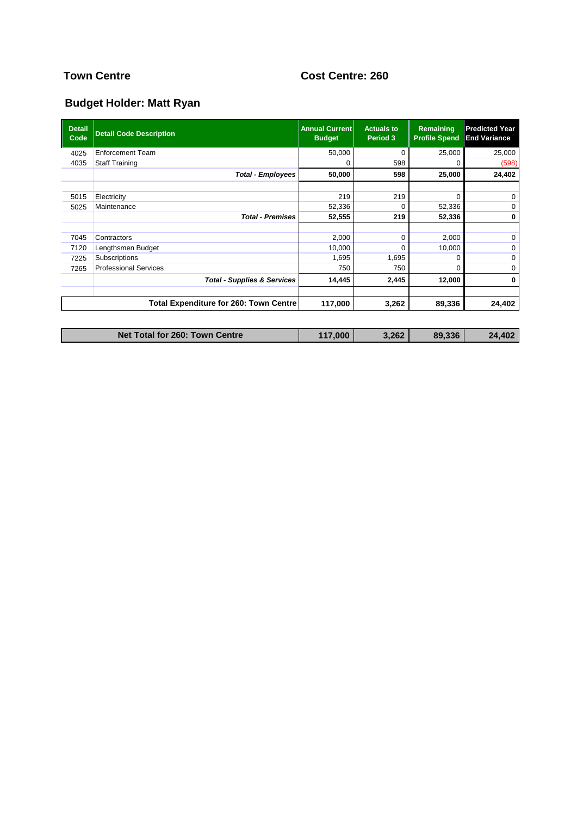# **Town Centre Cost Centre: 260**

| <b>Detail</b><br>Code | <b>Detail Code Description</b>         | <b>Annual Current</b><br><b>Budget</b> | <b>Actuals to</b><br>Period 3 | Remaining<br><b>Profile Spend</b> | <b>Predicted Year</b><br><b>End Variance</b> |
|-----------------------|----------------------------------------|----------------------------------------|-------------------------------|-----------------------------------|----------------------------------------------|
| 4025                  | <b>Enforcement Team</b>                | 50,000                                 | $\Omega$                      | 25,000                            | 25,000                                       |
| 4035                  | <b>Staff Training</b>                  | 0                                      | 598                           | O                                 | (598)                                        |
|                       | <b>Total - Employees</b>               | 50,000                                 | 598                           | 25,000                            | 24,402                                       |
|                       |                                        |                                        |                               |                                   |                                              |
| 5015                  | Electricity                            | 219                                    | 219                           | $\Omega$                          | $\mathbf 0$                                  |
| 5025                  | Maintenance                            | 52,336                                 | $\Omega$                      | 52,336                            | $\mathbf 0$                                  |
|                       | <b>Total - Premises</b>                | 52,555                                 | 219                           | 52,336                            | 0                                            |
|                       |                                        |                                        |                               |                                   |                                              |
| 7045                  | Contractors                            | 2,000                                  | $\Omega$                      | 2,000                             | $\mathbf 0$                                  |
| 7120                  | Lengthsmen Budget                      | 10,000                                 | $\Omega$                      | 10,000                            | $\Omega$                                     |
| 7225                  | Subscriptions                          | 1,695                                  | 1,695                         | 0                                 | $\mathbf 0$                                  |
| 7265                  | <b>Professional Services</b>           | 750                                    | 750                           | $\Omega$                          | $\mathbf 0$                                  |
|                       | <b>Total - Supplies &amp; Services</b> | 14,445                                 | 2,445                         | 12,000                            | 0                                            |
|                       |                                        |                                        |                               |                                   |                                              |
|                       | Total Expenditure for 260: Town Centre | 117,000                                | 3,262                         | 89,336                            | 24,402                                       |
|                       |                                        |                                        |                               |                                   |                                              |

| Net Total for 260: Town Centre | 117,000 | 3.262 | 89,336 | 24.402 |
|--------------------------------|---------|-------|--------|--------|
|--------------------------------|---------|-------|--------|--------|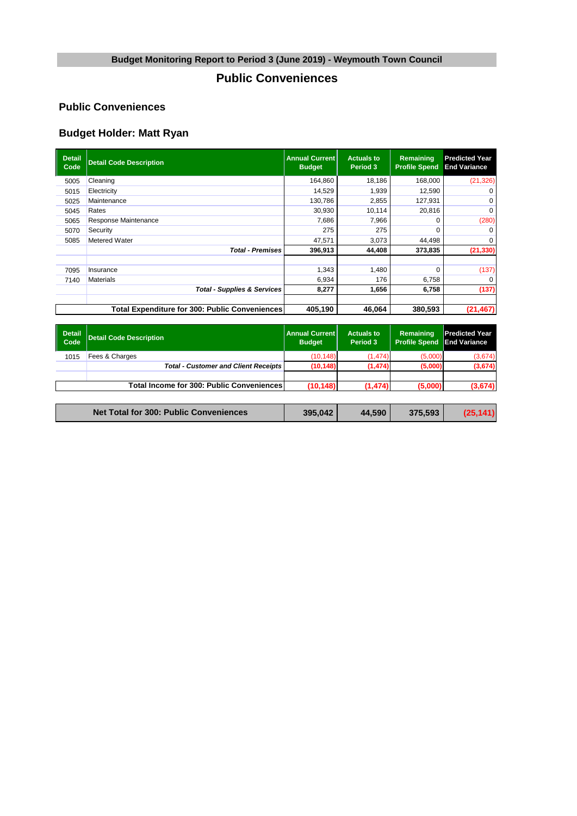# **Public Conveniences**

#### **Public Conveniences**

| <b>Detail</b><br>Code | <b>Detail Code Description</b>                 | <b>Annual Current</b><br><b>Budget</b> | <b>Actuals to</b><br>Period 3 | <b>Remaining</b><br><b>Profile Spend</b> | <b>Predicted Year</b><br><b>End Variance</b> |
|-----------------------|------------------------------------------------|----------------------------------------|-------------------------------|------------------------------------------|----------------------------------------------|
| 5005                  | Cleaning                                       | 164,860                                | 18.186                        | 168,000                                  | (21, 326)                                    |
| 5015                  | Electricity                                    | 14,529                                 | 1,939                         | 12,590                                   |                                              |
| 5025                  | Maintenance                                    | 130,786                                | 2,855                         | 127,931                                  | $\Omega$                                     |
| 5045                  | Rates                                          | 30,930                                 | 10,114                        | 20,816                                   | 0                                            |
| 5065                  | Response Maintenance                           | 7,686                                  | 7,966                         |                                          | (280)                                        |
| 5070                  | Security                                       | 275                                    | 275                           |                                          | $\Omega$                                     |
| 5085                  | Metered Water                                  | 47,571                                 | 3,073                         | 44,498                                   | 0                                            |
|                       | <b>Total - Premises</b>                        | 396,913                                | 44,408                        | 373,835                                  | (21, 330)                                    |
|                       |                                                |                                        |                               |                                          |                                              |
| 7095                  | Insurance                                      | 1,343                                  | 1,480                         | 0                                        | (137)                                        |
| 7140                  | Materials                                      | 6,934                                  | 176                           | 6,758                                    | $\Omega$                                     |
|                       | <b>Total - Supplies &amp; Services</b>         | 8,277                                  | 1,656                         | 6,758                                    | (137)                                        |
|                       | Total Expenditure for 300: Public Conveniences | 405,190                                | 46,064                        | 380,593                                  | (21, 467)                                    |

| <b>Annual Current</b><br><b>Budget</b>                                                   | <b>Actuals to</b><br>Period 3 | Remaining<br><b>Profile Spend</b> | <b>Predicted Year</b><br><b>End Variance</b> |
|------------------------------------------------------------------------------------------|-------------------------------|-----------------------------------|----------------------------------------------|
| (10.148)                                                                                 | (1.474)                       | (5.000)                           | (3,674)                                      |
| (10, 148)                                                                                | (1, 474)                      | (5,000)                           | (3,674)                                      |
|                                                                                          |                               |                                   |                                              |
| (10, 148)                                                                                | (1.474)                       | (5.000)                           | (3,674)                                      |
| <b>Total - Customer and Client Receipts</b><br>Total Income for 300: Public Conveniences |                               |                                   |                                              |

|  | <b>Net Total for 300: Public Conveniences</b><br>(25, 141)<br>395,042<br>44.590<br>375,593 |
|--|--------------------------------------------------------------------------------------------|
|--|--------------------------------------------------------------------------------------------|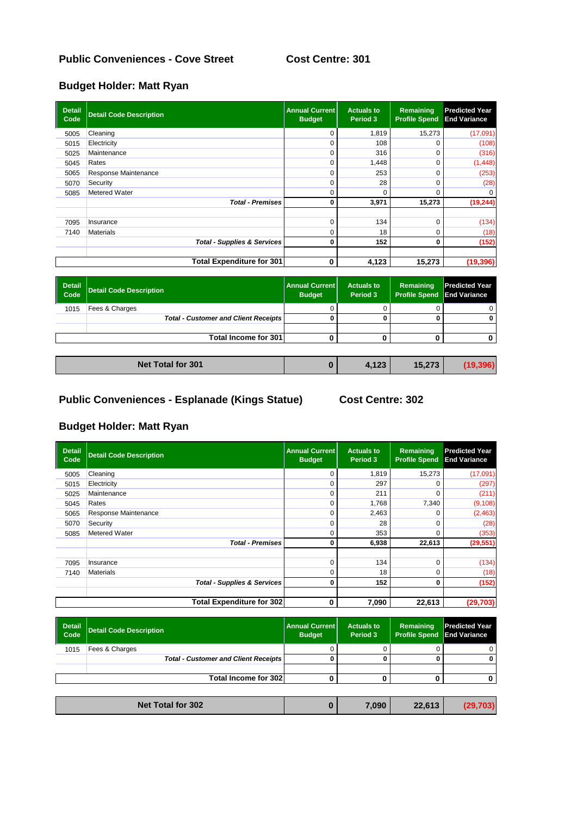### **Allotments Public Conveniences - Cove Street Cost Centre: 301**

### **Budget Holder: Matt Ryan**

| <b>Detail</b><br>Code | <b>Detail Code Description</b>         | <b>Annual Current</b><br><b>Budget</b> | <b>Actuals to</b><br>Period 3 | Remaining<br><b>Profile Spend</b> | <b>Predicted Year</b><br><b>End Variance</b> |
|-----------------------|----------------------------------------|----------------------------------------|-------------------------------|-----------------------------------|----------------------------------------------|
| 5005                  | Cleaning                               | $\Omega$                               | 1,819                         | 15,273                            | (17,091)                                     |
| 5015                  | Electricity                            | $\Omega$                               | 108                           |                                   | (108)                                        |
| 5025                  | Maintenance                            | $\Omega$                               | 316                           | 0                                 | (316)                                        |
| 5045                  | Rates                                  | $\Omega$                               | 1,448                         | 0                                 | (1, 448)                                     |
| 5065                  | Response Maintenance                   | $\Omega$                               | 253                           | O                                 | (253)                                        |
| 5070                  | Security                               | $\Omega$                               | 28                            |                                   | (28)                                         |
| 5085                  | Metered Water                          | $\Omega$                               | 0                             | 0                                 |                                              |
|                       | <b>Total - Premises</b>                | 0                                      | 3,971                         | 15,273                            | (19, 244)                                    |
|                       |                                        |                                        |                               |                                   |                                              |
| 7095                  | Insurance                              | $\Omega$                               | 134                           | O                                 | (134)                                        |
| 7140                  | <b>Materials</b>                       | 0                                      | 18                            | O                                 | (18)                                         |
|                       | <b>Total - Supplies &amp; Services</b> | 0                                      | 152                           | 0                                 | (152)                                        |
|                       |                                        |                                        |                               |                                   |                                              |
|                       | <b>Total Expenditure for 301</b>       | 0                                      | 4,123                         | 15,273                            | (19, 396)                                    |

| Detail<br>Code | Detail Code Description                     | <b>Annual Current</b><br><b>Budget</b> | <b>Actuals to</b><br>Period 3 | Remaining<br><b>Profile Spend End Variance</b> | <b>Predicted Year</b> |
|----------------|---------------------------------------------|----------------------------------------|-------------------------------|------------------------------------------------|-----------------------|
| 1015           | Fees & Charges                              |                                        |                               |                                                |                       |
|                | <b>Total - Customer and Client Receipts</b> |                                        |                               |                                                |                       |
|                |                                             |                                        |                               |                                                |                       |
|                | Total Income for 301                        |                                        |                               |                                                |                       |
|                |                                             |                                        |                               |                                                |                       |

| <b>Net Total for 301</b><br>122<br>15,273<br>4.ICJ |  |
|----------------------------------------------------|--|
|----------------------------------------------------|--|

# **Allotments Public Conveniences - Esplanade (Kings Statue) Cost Centre: 302**

| <b>Detail</b><br>Code | <b>Detail Code Description</b>         | <b>Annual Current</b><br><b>Budget</b> | <b>Actuals to</b><br>Period 3 | Remaining<br><b>Profile Spend</b> | <b>Predicted Year</b><br><b>End Variance</b> |
|-----------------------|----------------------------------------|----------------------------------------|-------------------------------|-----------------------------------|----------------------------------------------|
| 5005                  | Cleaning                               | 0                                      | 1,819                         | 15,273                            | (17,091)                                     |
| 5015                  | Electricity                            | $\Omega$                               | 297                           |                                   | (297)                                        |
| 5025                  | Maintenance                            | 0                                      | 211                           |                                   | (211)                                        |
| 5045                  | Rates                                  | 0                                      | 1,768                         | 7,340                             | (9,108)                                      |
| 5065                  | Response Maintenance                   | 0                                      | 2,463                         |                                   | (2,463)                                      |
| 5070                  | Security                               | $\Omega$                               | 28                            |                                   | (28)                                         |
| 5085                  | Metered Water                          | $\Omega$                               | 353                           | O                                 | (353)                                        |
|                       | <b>Total - Premises</b>                | 0                                      | 6,938                         | 22,613                            | (29, 551)                                    |
|                       |                                        |                                        |                               |                                   |                                              |
| 7095                  | Insurance                              | 0                                      | 134                           | 0                                 | (134)                                        |
| 7140                  | Materials                              | 0                                      | 18                            | 0                                 | (18)                                         |
|                       | <b>Total - Supplies &amp; Services</b> | 0                                      | 152                           | 0                                 | (152)                                        |
|                       |                                        |                                        |                               |                                   |                                              |
|                       | <b>Total Expenditure for 302</b>       | 0                                      | 7,090                         | 22,613                            | (29, 703)                                    |

| <b>Detail</b><br>Code | <b>Detail Code Description</b>              | <b>Annual Current</b><br><b>Budget</b> | <b>Actuals to</b><br>Period 3 | Remaining<br><b>Profile Spend</b> | <b>Predicted Year</b><br><b>End Variance</b> |
|-----------------------|---------------------------------------------|----------------------------------------|-------------------------------|-----------------------------------|----------------------------------------------|
| 1015                  | Fees & Charges                              |                                        |                               |                                   | 0                                            |
|                       | <b>Total - Customer and Client Receipts</b> |                                        |                               |                                   | 0                                            |
|                       |                                             |                                        |                               |                                   |                                              |
|                       | Total Income for 302                        |                                        |                               |                                   |                                              |
|                       |                                             |                                        |                               |                                   |                                              |
|                       | <b>Net Total for 302</b>                    | u                                      | 7,090                         | 22,613                            | (29, 703)                                    |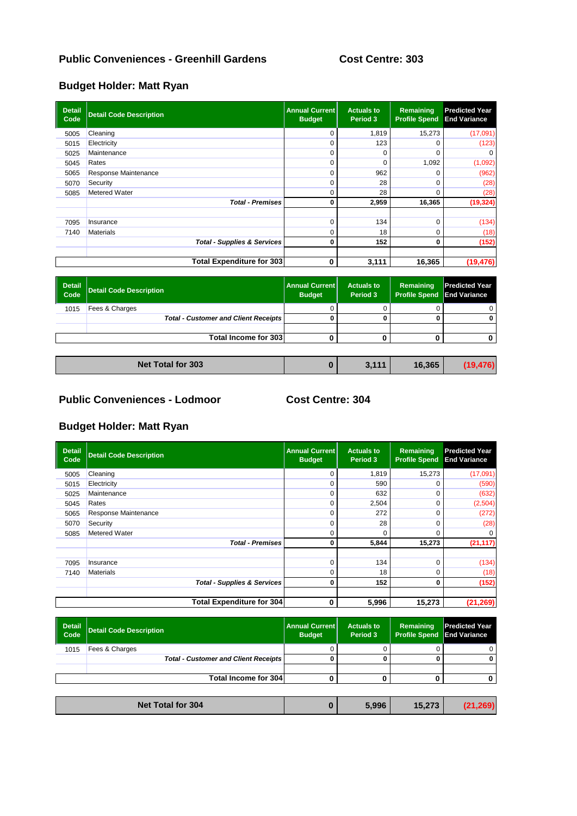### **Allotments Public Conveniences - Greenhill Gardens Cost Centre: 303**

### **Budget Holder: Matt Ryan**

| <b>Detail</b><br>Code | <b>Detail Code Description</b>         | <b>Annual Current</b><br><b>Budget</b> | <b>Actuals to</b><br>Period 3 | Remaining<br><b>Profile Spend</b> | <b>Predicted Year</b><br><b>End Variance</b> |
|-----------------------|----------------------------------------|----------------------------------------|-------------------------------|-----------------------------------|----------------------------------------------|
| 5005                  | Cleaning                               | 0                                      | 1,819                         | 15,273                            | (17,091)                                     |
| 5015                  | Electricity                            |                                        | 123                           | 0                                 | (123)                                        |
| 5025                  | Maintenance                            |                                        | 0                             | $\Omega$                          |                                              |
| 5045                  | Rates                                  |                                        | $\Omega$                      | 1,092                             | (1,092)                                      |
| 5065                  | Response Maintenance                   |                                        | 962                           |                                   | (962)                                        |
| 5070                  | Security                               |                                        | 28                            | $\Omega$                          | (28)                                         |
| 5085                  | Metered Water                          | 0                                      | 28                            | $\Omega$                          | (28)                                         |
|                       | <b>Total - Premises</b>                | 0                                      | 2,959                         | 16,365                            | (19, 324)                                    |
| 7095                  | Insurance                              |                                        | 134                           | O                                 | (134)                                        |
| 7140                  | <b>Materials</b>                       |                                        | 18                            | $\Omega$                          | (18)                                         |
|                       | <b>Total - Supplies &amp; Services</b> | 0                                      | 152                           | 0                                 | (152)                                        |
|                       | <b>Total Expenditure for 303</b>       | 0                                      | 3,111                         | 16,365                            | (19, 476)                                    |

| Detail<br>Code | Detail Code Description                     | <b>Annual Current</b><br><b>Budget</b> | <b>Actuals to</b><br>Period 3 | Remaining<br><b>Profile Spend</b> | <b>Predicted Year</b><br><b>End Variance</b> |
|----------------|---------------------------------------------|----------------------------------------|-------------------------------|-----------------------------------|----------------------------------------------|
| 1015           | Fees & Charges                              |                                        |                               |                                   |                                              |
|                | <b>Total - Customer and Client Receipts</b> |                                        |                               |                                   |                                              |
|                |                                             |                                        |                               |                                   |                                              |
|                | Total Income for 303                        |                                        |                               |                                   |                                              |
|                |                                             |                                        |                               |                                   |                                              |

|  | <b>Net Total for 303</b> |  | 1444 | 16,365 | (19, 476) |
|--|--------------------------|--|------|--------|-----------|
|--|--------------------------|--|------|--------|-----------|

### **Public Conveniences - Lodmoor Cost Centre: 304**

| <b>Detail</b><br>Code | <b>Detail Code Description</b>         | <b>Annual Current</b><br><b>Budget</b> | <b>Actuals to</b><br>Period 3 | Remaining<br><b>Profile Spend</b> | <b>Predicted Year</b><br><b>End Variance</b> |
|-----------------------|----------------------------------------|----------------------------------------|-------------------------------|-----------------------------------|----------------------------------------------|
| 5005                  | Cleaning                               | $\Omega$                               | 1,819                         | 15,273                            | (17,091)                                     |
| 5015                  | Electricity                            | 0                                      | 590                           |                                   | (590)                                        |
| 5025                  | Maintenance                            | 0                                      | 632                           | 0                                 | (632)                                        |
| 5045                  | Rates                                  | 0                                      | 2,504                         | 0                                 | (2,504)                                      |
| 5065                  | Response Maintenance                   | 0                                      | 272                           | 0                                 | (272)                                        |
| 5070                  | Security                               | 0                                      | 28                            | ი                                 | (28)                                         |
| 5085                  | Metered Water                          | 0                                      | 0                             | O                                 |                                              |
|                       | <b>Total - Premises</b>                | 0                                      | 5,844                         | 15,273                            | (21, 117)                                    |
|                       |                                        |                                        |                               |                                   |                                              |
| 7095                  | Insurance                              | 0                                      | 134                           | $\Omega$                          | (134)                                        |
| 7140                  | <b>Materials</b>                       | 0                                      | 18                            | 0                                 | (18)                                         |
|                       | <b>Total - Supplies &amp; Services</b> | 0                                      | 152                           | 0                                 | (152)                                        |
|                       |                                        |                                        |                               |                                   |                                              |
|                       | <b>Total Expenditure for 304</b>       | 0                                      | 5,996                         | 15,273                            | (21, 269)                                    |

| Detail<br>  Code | <b>Detail Code Description</b>              | <b>Annual Current</b><br><b>Budget</b> | <b>Actuals to</b><br>Period 3 | <b>Remaining</b><br><b>Profile Spend End Variance</b> | <b>Predicted Year</b> |
|------------------|---------------------------------------------|----------------------------------------|-------------------------------|-------------------------------------------------------|-----------------------|
| 1015             | Fees & Charges                              |                                        |                               |                                                       |                       |
|                  | <b>Total - Customer and Client Receipts</b> |                                        |                               |                                                       |                       |
|                  |                                             |                                        |                               |                                                       |                       |
|                  | Total Income for 304                        |                                        |                               |                                                       |                       |
|                  |                                             |                                        |                               |                                                       |                       |
|                  | <b>Net Total for 304</b>                    | u                                      | 5,996                         | 15,273                                                | (21, 269)             |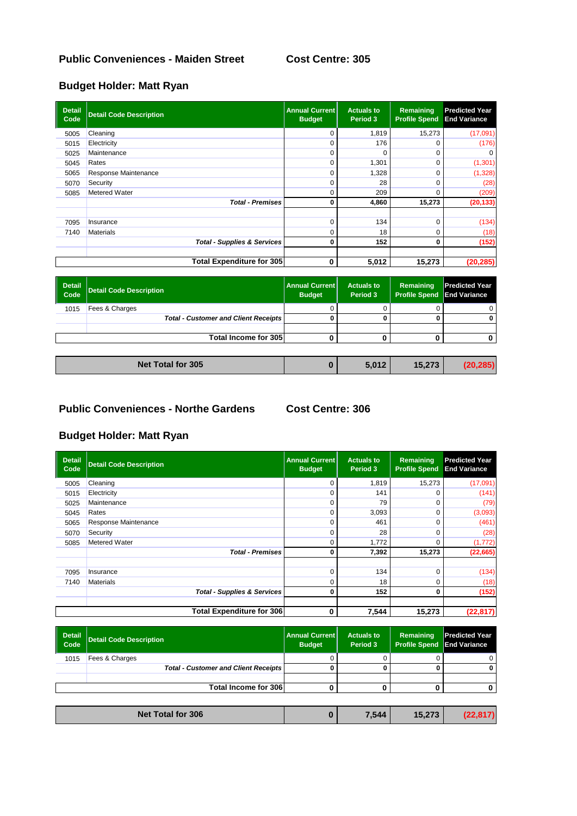### **Allotments Public Conveniences - Maiden Street Cost Centre: 305**

### **Budget Holder: Matt Ryan**

| <b>Detail</b><br>Code | <b>Detail Code Description</b>         | <b>Annual Current</b><br><b>Budget</b> | <b>Actuals to</b><br>Period 3 | Remaining<br><b>Profile Spend</b> | <b>Predicted Year</b><br><b>End Variance</b> |
|-----------------------|----------------------------------------|----------------------------------------|-------------------------------|-----------------------------------|----------------------------------------------|
| 5005                  | Cleaning                               | 0                                      | 1,819                         | 15,273                            | (17,091)                                     |
| 5015                  | Electricity                            | $\Omega$                               | 176                           |                                   | (176)                                        |
| 5025                  | Maintenance                            | $\Omega$                               |                               | 0                                 |                                              |
| 5045                  | Rates                                  | 0                                      | 1,301                         | $\Omega$                          | (1, 301)                                     |
| 5065                  | Response Maintenance                   | 0                                      | 1,328                         | 0                                 | (1, 328)                                     |
| 5070                  | Security                               | $\Omega$                               | 28                            | O                                 | (28)                                         |
| 5085                  | <b>Metered Water</b>                   | 0                                      | 209                           | 0                                 | (209)                                        |
|                       | <b>Total - Premises</b>                | 0                                      | 4,860                         | 15,273                            | (20, 133)                                    |
|                       |                                        |                                        |                               |                                   |                                              |
| 7095                  | Insurance                              | 0                                      | 134                           | O                                 | (134)                                        |
| 7140                  | <b>Materials</b>                       | 0                                      | 18                            | 0                                 | (18)                                         |
|                       | <b>Total - Supplies &amp; Services</b> | 0                                      | 152                           | 0                                 | (152)                                        |
|                       | <b>Total Expenditure for 305</b>       | 0                                      | 5,012                         | 15,273                            | (20, 285)                                    |

| Detail<br>Code | Detail Code Description                     | <b>Annual Current</b><br><b>Budget</b> | <b>Actuals to</b><br>Period 3 | Remaining<br><b>Profile Spend End Variance</b> | <b>Predicted Year</b> |
|----------------|---------------------------------------------|----------------------------------------|-------------------------------|------------------------------------------------|-----------------------|
| 1015           | Fees & Charges                              |                                        |                               |                                                |                       |
|                | <b>Total - Customer and Client Receipts</b> |                                        |                               |                                                |                       |
|                |                                             |                                        |                               |                                                |                       |
|                | Total Income for 305                        |                                        |                               |                                                |                       |
|                |                                             |                                        |                               |                                                |                       |

| Net Total for 305 | .012<br>. . | 15.272 |  |
|-------------------|-------------|--------|--|
|                   |             |        |  |

#### **Allotments Public Conveniences - Northe Gardens Cost Centre: 306**

| <b>Detail</b><br>Code | <b>Detail Code Description</b>         | <b>Annual Current</b><br><b>Budget</b> | <b>Actuals to</b><br>Period 3 | Remaining<br><b>Profile Spend</b> | <b>Predicted Year</b><br><b>End Variance</b> |
|-----------------------|----------------------------------------|----------------------------------------|-------------------------------|-----------------------------------|----------------------------------------------|
| 5005                  | Cleaning                               |                                        | 1,819                         | 15,273                            | (17,091)                                     |
| 5015                  | Electricity                            |                                        | 141                           |                                   | (141)                                        |
| 5025                  | Maintenance                            |                                        | 79                            |                                   | (79)                                         |
| 5045                  | Rates                                  |                                        | 3,093                         | $\Omega$                          | (3,093)                                      |
| 5065                  | Response Maintenance                   |                                        | 461                           | $\Omega$                          | (461)                                        |
| 5070                  | Security                               |                                        | 28                            | O                                 | (28)                                         |
| 5085                  | <b>Metered Water</b>                   |                                        | 1,772                         |                                   | (1,772)                                      |
|                       | <b>Total - Premises</b>                |                                        | 7,392                         | 15,273                            | (22, 665)                                    |
| 7095                  | Insurance                              |                                        | 134                           | $\Omega$                          | (134)                                        |
| 7140                  | <b>Materials</b>                       |                                        | 18                            |                                   |                                              |
|                       |                                        |                                        |                               |                                   | (18)                                         |
|                       | <b>Total - Supplies &amp; Services</b> |                                        | 152                           | 0                                 | (152)                                        |
|                       | <b>Total Expenditure for 306</b>       | 0                                      | 7,544                         | 15,273                            | (22, 817)                                    |

| <b>Detail</b><br>Code | <b>Detail Code Description</b>              | <b>Annual Current</b><br><b>Budget</b> | <b>Actuals to</b><br>Period 3 | Remaining<br><b>Profile Spend End Variance</b> | <b>Predicted Year</b> |
|-----------------------|---------------------------------------------|----------------------------------------|-------------------------------|------------------------------------------------|-----------------------|
| 1015                  | Fees & Charges                              |                                        |                               |                                                |                       |
|                       | <b>Total - Customer and Client Receipts</b> |                                        |                               |                                                |                       |
|                       |                                             |                                        |                               |                                                |                       |
|                       | Total Income for 306                        |                                        |                               |                                                |                       |
|                       |                                             |                                        |                               |                                                |                       |
|                       | <b>Net Total for 306</b>                    |                                        | 7,544                         | 15.273                                         | (22.817)              |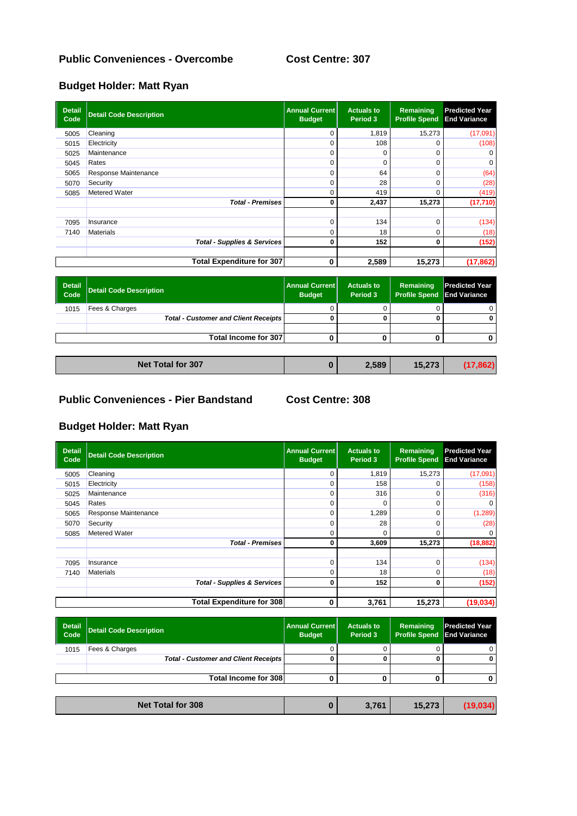#### **Allots Public Conveniences - Overcombe Cost Centre: 307**

### **Budget Holder: Matt Ryan**

| <b>Detail</b><br>Code | <b>Detail Code Description</b>         | <b>Annual Current</b><br><b>Budget</b> | <b>Actuals to</b><br>Period 3 | Remaining<br><b>Profile Spend</b> | <b>Predicted Year</b><br><b>End Variance</b> |
|-----------------------|----------------------------------------|----------------------------------------|-------------------------------|-----------------------------------|----------------------------------------------|
| 5005                  | Cleaning                               | 0                                      | 1,819                         | 15,273                            | (17,091)                                     |
| 5015                  | Electricity                            | $\Omega$                               | 108                           | 0                                 | (108)                                        |
| 5025                  | Maintenance                            | 0                                      | 0                             | 0                                 |                                              |
| 5045                  | Rates                                  | 0                                      | $\Omega$                      | O                                 |                                              |
| 5065                  | Response Maintenance                   | $\Omega$                               | 64                            | O                                 | (64)                                         |
| 5070                  | Security                               | 0                                      | 28                            | 0                                 | (28)                                         |
| 5085                  | Metered Water                          | 0                                      | 419                           | 0                                 | (419)                                        |
|                       | <b>Total - Premises</b>                | 0                                      | 2,437                         | 15,273                            | (17, 710)                                    |
| 7095                  | Insurance                              | $\Omega$                               | 134                           | O                                 | (134)                                        |
| 7140                  | <b>Materials</b>                       | 0                                      | 18                            | 0                                 | (18)                                         |
|                       | <b>Total - Supplies &amp; Services</b> | 0                                      | 152                           | 0                                 | (152)                                        |
|                       | <b>Total Expenditure for 307</b>       | 0                                      | 2,589                         | 15,273                            | (17, 862)                                    |

| Detail<br>Code | Detail Code Description                     | <b>Annual Current</b><br><b>Budget</b> | <b>Actuals to</b><br>Period 3 | Remaining<br><b>Profile Spend End Variance</b> | <b>Predicted Year</b> |
|----------------|---------------------------------------------|----------------------------------------|-------------------------------|------------------------------------------------|-----------------------|
| 1015           | Fees & Charges                              |                                        |                               |                                                |                       |
|                | <b>Total - Customer and Client Receipts</b> |                                        |                               |                                                |                       |
|                |                                             |                                        |                               |                                                |                       |
|                | Total Income for 307                        |                                        |                               |                                                |                       |
|                |                                             |                                        |                               |                                                |                       |

| Net Total for 307<br>2.589<br>15.273<br>.862 |
|----------------------------------------------|
|----------------------------------------------|

### **Allotments Public Conveniences - Pier Bandstand Cost Centre: 308**

| <b>Detail</b><br>Code            | <b>Detail Code Description</b>         | <b>Annual Current</b><br><b>Budget</b> | <b>Actuals to</b><br>Period 3 | Remaining<br><b>Profile Spend</b> | <b>Predicted Year</b><br><b>End Variance</b> |
|----------------------------------|----------------------------------------|----------------------------------------|-------------------------------|-----------------------------------|----------------------------------------------|
| 5005                             | Cleaning                               | 0                                      | 1.819                         | 15,273                            | (17,091)                                     |
| 5015                             | Electricity                            | 0                                      | 158                           |                                   | (158)                                        |
| 5025                             | Maintenance                            | $\Omega$                               | 316                           | $\Omega$                          | (316)                                        |
| 5045                             | Rates                                  | 0                                      | 0                             | 0                                 |                                              |
| 5065                             | Response Maintenance                   | 0                                      | 1,289                         | 0                                 | (1, 289)                                     |
| 5070                             | Security                               | $\Omega$                               | 28                            | $\Omega$                          | (28)                                         |
| 5085                             | Metered Water                          | 0                                      | $\Omega$                      | $\Omega$                          |                                              |
|                                  | <b>Total - Premises</b>                | 0                                      | 3,609                         | 15,273                            | (18, 882)                                    |
|                                  |                                        |                                        |                               |                                   |                                              |
| 7095                             | Insurance                              | 0                                      | 134                           | 0                                 | (134)                                        |
| 7140                             | <b>Materials</b>                       | 0                                      | 18                            | 0                                 | (18)                                         |
|                                  | <b>Total - Supplies &amp; Services</b> | 0                                      | 152                           | 0                                 | (152)                                        |
|                                  |                                        |                                        |                               |                                   |                                              |
| <b>Total Expenditure for 308</b> |                                        | 0                                      | 3,761                         | 15,273                            | (19, 034)                                    |

| Detail<br>  Code | <b>Detail Code Description</b>              | Annual Current  <br><b>Budget</b> | <b>Actuals to</b><br>Period 3 | Remaining<br><b>Profile Spend End Variance</b> | <b>Predicted Year</b> |  |  |
|------------------|---------------------------------------------|-----------------------------------|-------------------------------|------------------------------------------------|-----------------------|--|--|
| 1015             | Fees & Charges                              |                                   |                               |                                                |                       |  |  |
|                  | <b>Total - Customer and Client Receipts</b> |                                   |                               |                                                |                       |  |  |
|                  |                                             |                                   |                               |                                                |                       |  |  |
|                  | <b>Total Income for 308</b>                 |                                   |                               |                                                |                       |  |  |
|                  |                                             |                                   |                               |                                                |                       |  |  |
|                  | <b>Net Total for 308</b>                    | U                                 | 3,761                         | 15,273                                         | (19,034)              |  |  |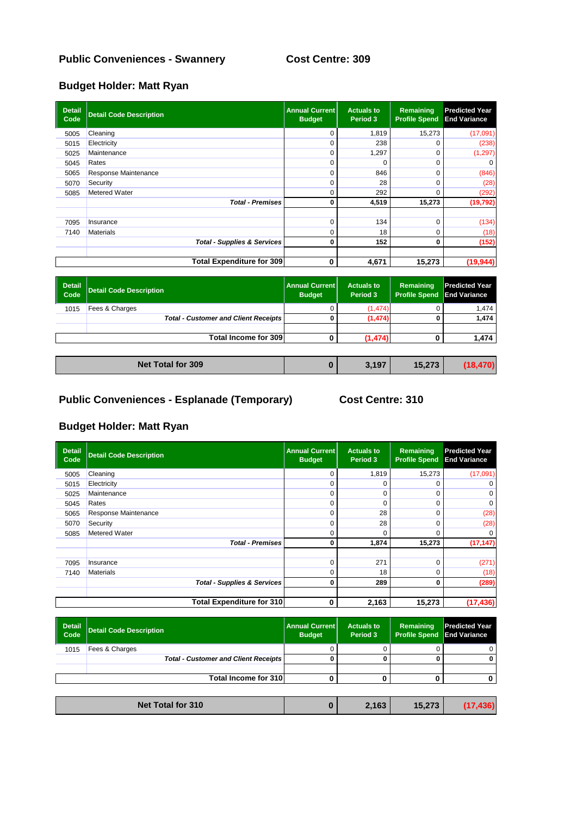### **Public Conveniences - Swannery Cost Centre: 309**

# **Budget Holder: Matt Ryan**

| <b>Detail</b><br>Code | <b>Detail Code Description</b>         | <b>Annual Current</b><br><b>Budget</b> | <b>Actuals to</b><br>Period 3 | Remaining<br><b>Profile Spend</b> | <b>Predicted Year</b><br><b>End Variance</b> |
|-----------------------|----------------------------------------|----------------------------------------|-------------------------------|-----------------------------------|----------------------------------------------|
| 5005                  | Cleaning                               | 0                                      | 1,819                         | 15,273                            | (17,091)                                     |
| 5015                  | Electricity                            | 0                                      | 238                           | 0                                 | (238)                                        |
| 5025                  | Maintenance                            | 0                                      | 1,297                         | 0                                 | (1, 297)                                     |
| 5045                  | Rates                                  | 0                                      |                               | 0                                 |                                              |
| 5065                  | Response Maintenance                   | 0                                      | 846                           | O                                 | (846)                                        |
| 5070                  | Security                               | 0                                      | 28                            | O                                 | (28)                                         |
| 5085                  | Metered Water                          | 0                                      | 292                           | 0                                 | (292)                                        |
|                       | <b>Total - Premises</b>                | 0                                      | 4,519                         | 15,273                            | (19, 792)                                    |
|                       |                                        |                                        |                               |                                   |                                              |
| 7095                  | Insurance                              | 0                                      | 134                           | 0                                 | (134)                                        |
| 7140                  | <b>Materials</b>                       | 0                                      | 18                            | 0                                 | (18)                                         |
|                       | <b>Total - Supplies &amp; Services</b> | 0                                      | 152                           | 0                                 | (152)                                        |
|                       |                                        |                                        |                               |                                   |                                              |
|                       | <b>Total Expenditure for 309</b>       | 0                                      | 4,671                         | 15,273                            | (19, 944)                                    |

| <b>Detail</b><br>Code | <b>Detail Code Description</b>              | <b>Annual Current</b><br><b>Budget</b> | <b>Actuals to</b><br>Period 3 | Remaining<br><b>Profile Spend</b> | <b>Predicted Year</b><br><b>End Variance</b> |
|-----------------------|---------------------------------------------|----------------------------------------|-------------------------------|-----------------------------------|----------------------------------------------|
| 1015                  | Fees & Charges                              |                                        | (1, 474)                      |                                   | 1,474                                        |
|                       | <b>Total - Customer and Client Receipts</b> |                                        | (1, 474)                      |                                   | 1,474                                        |
|                       |                                             |                                        |                               |                                   |                                              |
|                       | Total Income for 309                        |                                        | (1, 474)                      |                                   | 1,474                                        |
|                       |                                             |                                        |                               |                                   |                                              |
|                       | <b>Net Total for 309</b>                    | 0                                      | 3,197                         | 15,273                            | (18, 470)                                    |

| Net Total for 309 | 3,197 | <b>AE 070</b> |  |
|-------------------|-------|---------------|--|
|                   |       |               |  |

# **Allotments Public Conveniences - Esplanade (Temporary) Cost Centre: 310**

| <b>Detail</b><br>Code | <b>Detail Code Description</b>         | <b>Annual Current</b><br><b>Budget</b> | <b>Actuals to</b><br>Period 3 | Remaining<br><b>Profile Spend</b> | <b>Predicted Year</b><br><b>End Variance</b> |
|-----------------------|----------------------------------------|----------------------------------------|-------------------------------|-----------------------------------|----------------------------------------------|
| 5005                  | Cleaning                               | 0                                      | 1,819                         | 15,273                            | (17,091)                                     |
| 5015                  | Electricity                            | $\Omega$                               | 0                             |                                   |                                              |
| 5025                  | Maintenance                            | 0                                      | 0                             |                                   |                                              |
| 5045                  | Rates                                  | 0                                      | 0                             | 0                                 | $\Omega$                                     |
| 5065                  | Response Maintenance                   | 0                                      | 28                            |                                   | (28)                                         |
| 5070                  | Security                               | 0                                      | 28                            |                                   | (28)                                         |
| 5085                  | Metered Water                          | 0                                      | 0                             | ი                                 |                                              |
|                       | <b>Total - Premises</b>                | 0                                      | 1,874                         | 15,273                            | (17, 147)                                    |
|                       |                                        |                                        |                               |                                   |                                              |
| 7095                  | Insurance                              | 0                                      | 271                           | 0                                 | (271)                                        |
| 7140                  | <b>Materials</b>                       | 0                                      | 18                            | 0                                 | (18)                                         |
|                       | <b>Total - Supplies &amp; Services</b> | 0                                      | 289                           | 0                                 | (289)                                        |
|                       | <b>Total Expenditure for 310</b>       | 0                                      | 2,163                         | 15,273                            | (17, 436)                                    |

| <b>Detail</b><br>Code | <b>Detail Code Description</b>              | <b>Annual Current</b><br><b>Budget</b> | <b>Actuals to</b><br>Period 3 | Remaining<br><b>Profile Spend</b> | <b>Predicted Year</b><br><b>End Variance</b> |
|-----------------------|---------------------------------------------|----------------------------------------|-------------------------------|-----------------------------------|----------------------------------------------|
| 1015                  | Fees & Charges                              |                                        |                               |                                   | 0                                            |
|                       | <b>Total - Customer and Client Receipts</b> |                                        |                               |                                   |                                              |
|                       |                                             |                                        |                               |                                   |                                              |
|                       | Total Income for 310                        |                                        |                               |                                   |                                              |
|                       |                                             |                                        |                               |                                   |                                              |
|                       | <b>Net Total for 310</b>                    |                                        | 2,163                         | 15,273                            | (17, 436)                                    |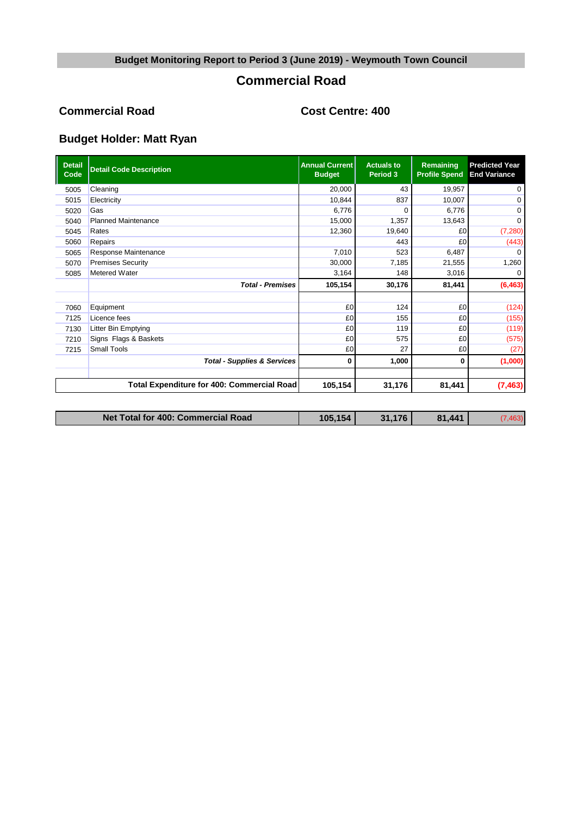## **Commercial Road**

#### **Commercial Road Cost Centre: 400**

| <b>Detail</b><br>Code | <b>Detail Code Description</b>             | <b>Annual Current</b><br><b>Budget</b> | <b>Actuals to</b><br>Period 3 | Remaining<br><b>Profile Spend</b> | <b>Predicted Year</b><br><b>End Variance</b> |
|-----------------------|--------------------------------------------|----------------------------------------|-------------------------------|-----------------------------------|----------------------------------------------|
| 5005                  | Cleaning                                   | 20,000                                 | 43                            | 19,957                            | $\mathbf 0$                                  |
| 5015                  | Electricity                                | 10,844                                 | 837                           | 10,007                            | $\Omega$                                     |
| 5020                  | Gas                                        | 6,776                                  | ∩                             | 6.776                             | $\Omega$                                     |
| 5040                  | <b>Planned Maintenance</b>                 | 15,000                                 | 1,357                         | 13,643                            | $\Omega$                                     |
| 5045                  | Rates                                      | 12,360                                 | 19,640                        | £0                                | (7, 280)                                     |
| 5060                  | Repairs                                    |                                        | 443                           | £0                                | (443)                                        |
| 5065                  | Response Maintenance                       | 7,010                                  | 523                           | 6,487                             | ∩                                            |
| 5070                  | <b>Premises Security</b>                   | 30,000                                 | 7,185                         | 21,555                            | 1,260                                        |
| 5085                  | <b>Metered Water</b>                       | 3,164                                  | 148                           | 3,016                             | 0                                            |
|                       | <b>Total - Premises</b>                    | 105,154                                | 30,176                        | 81,441                            | (6, 463)                                     |
|                       |                                            |                                        |                               |                                   |                                              |
| 7060                  | Equipment                                  | £0                                     | 124                           | £0                                | (124)                                        |
| 7125                  | Licence fees                               | £0                                     | 155                           | £0                                | (155)                                        |
| 7130                  | Litter Bin Emptying                        | £0                                     | 119                           | £0                                | (119)                                        |
| 7210                  | Signs Flags & Baskets                      | £0                                     | 575                           | £0                                | (575)                                        |
| 7215                  | <b>Small Tools</b>                         | £0                                     | 27                            | £0                                | (27)                                         |
|                       | <b>Total - Supplies &amp; Services</b>     | 0                                      | 1,000                         | 0                                 | (1,000)                                      |
|                       |                                            |                                        |                               |                                   |                                              |
|                       | Total Expenditure for 400: Commercial Road | 105,154                                | 31,176                        | 81,441                            | (7, 463)                                     |

| Net Total for 400: Commercial Road | $-154$ .<br>105. | $1.17$ F<br>31. | $\overline{A}$<br>81 |  |
|------------------------------------|------------------|-----------------|----------------------|--|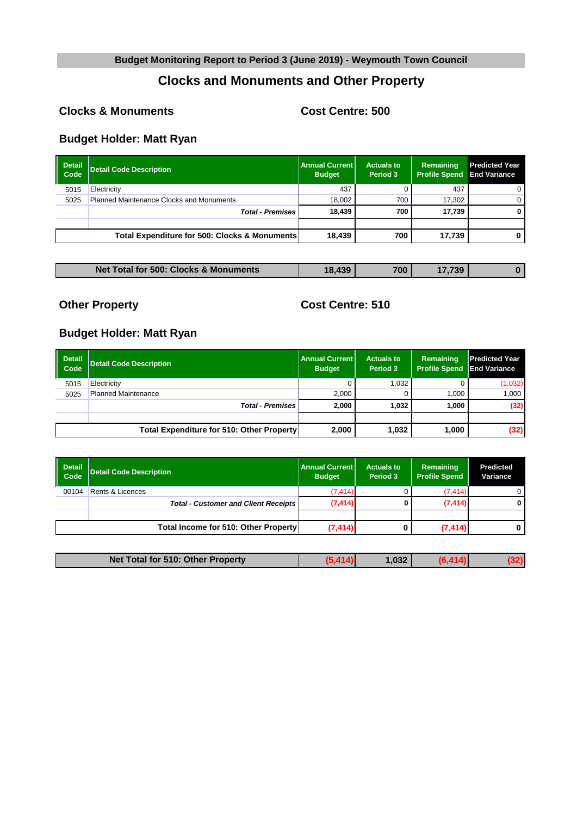# **Clocks and Monuments and Other Property**

#### **Allotments Clocks & Monuments Cost Centre: 500**

# **Budget Holder: Matt Ryan**

| <b>Detail</b><br>Code | Detail Code Description                         | Annual Current  <br><b>Budget</b> | <b>Actuals to</b><br>Period 3 | Remaining<br><b>Profile Spend</b> | <b>Predicted Year</b><br><b>End Variance</b> |
|-----------------------|-------------------------------------------------|-----------------------------------|-------------------------------|-----------------------------------|----------------------------------------------|
| 5015                  | Electricity                                     | 437                               |                               | 437                               |                                              |
| 5025                  | <b>Planned Maintenance Clocks and Monuments</b> | 18.002                            | 700                           | 17.302                            |                                              |
|                       | <b>Total - Premises</b>                         | 18.439                            | 700                           | 17.739                            | 0                                            |
|                       |                                                 |                                   |                               |                                   |                                              |
|                       | Total Expenditure for 500: Clocks & Monuments   | 18.439                            | 700                           | 17.739                            |                                              |

| <b>Net Total for 500: Clocks &amp; Monuments</b> | 8.439<br>1 O | 700 | .739 |  |
|--------------------------------------------------|--------------|-----|------|--|

**Allots Cost Centre: 510** 

| Detail<br>l Code | Detail Code Description                          | <b>Annual Current I</b><br><b>Budget</b> | <b>Actuals to</b><br>Period 3 | Remaining<br><b>Profile Spend</b> | <b>Predicted Year</b><br><b>End Variance</b> |
|------------------|--------------------------------------------------|------------------------------------------|-------------------------------|-----------------------------------|----------------------------------------------|
| 5015             | Electricity                                      |                                          | 1.032                         |                                   | (1,032)                                      |
| 5025             | <b>Planned Maintenance</b>                       | 2.000                                    |                               | 1.000                             | 1,000                                        |
|                  | <b>Total - Premises</b>                          | 2.000                                    | 1.032                         | 1.000                             | (32)                                         |
|                  |                                                  |                                          |                               |                                   |                                              |
|                  | <b>Total Expenditure for 510: Other Property</b> | 2,000                                    | 1,032                         | 1,000                             | (32)                                         |

| <b>Detail</b><br>Code | Detail Code Description                     | <b>Annual Current</b><br><b>Budget</b> | <b>Actuals to</b><br>Period 3 | Remaining<br><b>Profile Spend</b> | <b>Predicted</b><br>Variance |
|-----------------------|---------------------------------------------|----------------------------------------|-------------------------------|-----------------------------------|------------------------------|
| 00104                 | Rents & Licences                            | (7, 414)                               |                               | (7, 414)                          |                              |
|                       | <b>Total - Customer and Client Receipts</b> | (7, 414)                               | 0                             | (7, 414)                          | 0                            |
|                       |                                             |                                        |                               |                                   |                              |
|                       | Total Income for 510: Other Property        | (7, 414)                               |                               | (7, 414)                          | 0                            |

| Net Total for 510: Other Property | .032 |  |
|-----------------------------------|------|--|
|                                   |      |  |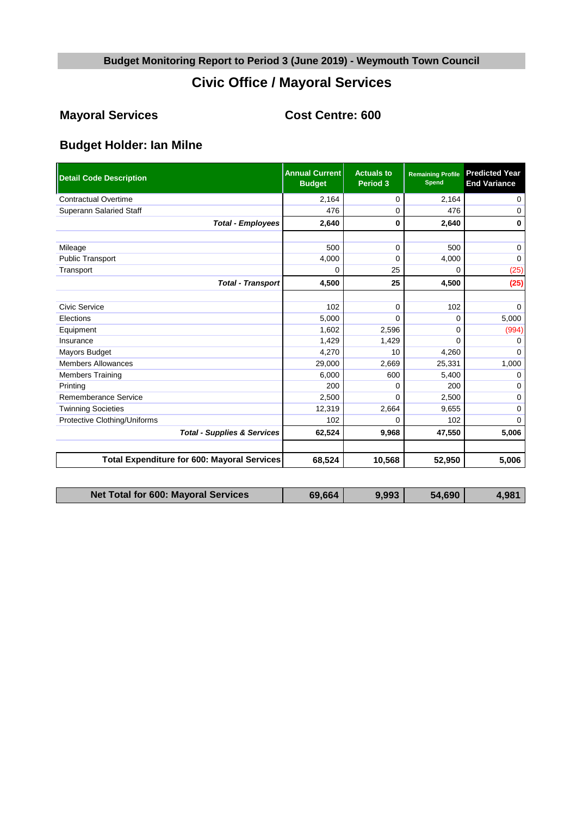# **Civic Office / Mayoral Services**

# **Mayoral Services Cost Centre: 600**

# **Budget Holder: Ian Milne**

| <b>Detail Code Description</b>                     | <b>Annual Current</b><br><b>Budget</b> | <b>Actuals to</b><br>Period 3 | <b>Remaining Profile</b><br><b>Spend</b> | <b>Predicted Year</b><br><b>End Variance</b> |
|----------------------------------------------------|----------------------------------------|-------------------------------|------------------------------------------|----------------------------------------------|
| <b>Contractual Overtime</b>                        | 2,164                                  | 0                             | 2,164                                    | 0                                            |
| <b>Superann Salaried Staff</b>                     | 476                                    | $\Omega$                      | 476                                      | 0                                            |
| <b>Total - Employees</b>                           | 2,640                                  | 0                             | 2,640                                    | 0                                            |
|                                                    |                                        |                               |                                          |                                              |
| Mileage                                            | 500                                    | $\mathbf 0$                   | 500                                      | 0                                            |
| <b>Public Transport</b>                            | 4,000                                  | $\mathbf 0$                   | 4,000                                    | $\Omega$                                     |
| Transport                                          | 0                                      | 25                            | 0                                        | (25)                                         |
| <b>Total - Transport</b>                           | 4,500                                  | 25                            | 4,500                                    | (25)                                         |
|                                                    |                                        |                               |                                          |                                              |
| Civic Service                                      | 102                                    | $\Omega$                      | 102                                      | $\Omega$                                     |
| Elections                                          | 5,000                                  | $\Omega$                      | 0                                        | 5,000                                        |
| Equipment                                          | 1,602                                  | 2,596                         | 0                                        | (994)                                        |
| Insurance                                          | 1,429                                  | 1,429                         | 0                                        | <sup>0</sup>                                 |
| Mayors Budget                                      | 4,270                                  | 10                            | 4,260                                    | $\Omega$                                     |
| <b>Members Allowances</b>                          | 29,000                                 | 2,669                         | 25,331                                   | 1,000                                        |
| <b>Members Training</b>                            | 6.000                                  | 600                           | 5,400                                    | $\Omega$                                     |
| Printing                                           | 200                                    | $\Omega$                      | 200                                      | 0                                            |
| Rememberance Service                               | 2,500                                  | $\Omega$                      | 2,500                                    | 0                                            |
| <b>Twinning Societies</b>                          | 12,319                                 | 2,664                         | 9,655                                    | 0                                            |
| Protective Clothing/Uniforms                       | 102                                    | $\Omega$                      | 102                                      | $\Omega$                                     |
| <b>Total - Supplies &amp; Services</b>             | 62,524                                 | 9,968                         | 47,550                                   | 5,006                                        |
|                                                    |                                        |                               |                                          |                                              |
| <b>Total Expenditure for 600: Mayoral Services</b> | 68,524                                 | 10,568                        | 52,950                                   | 5,006                                        |

| <b>Net Total for 600: Mayoral Services</b> | 69,664 | 9,993 | 54,690 | $4.98^{\circ}$ |
|--------------------------------------------|--------|-------|--------|----------------|